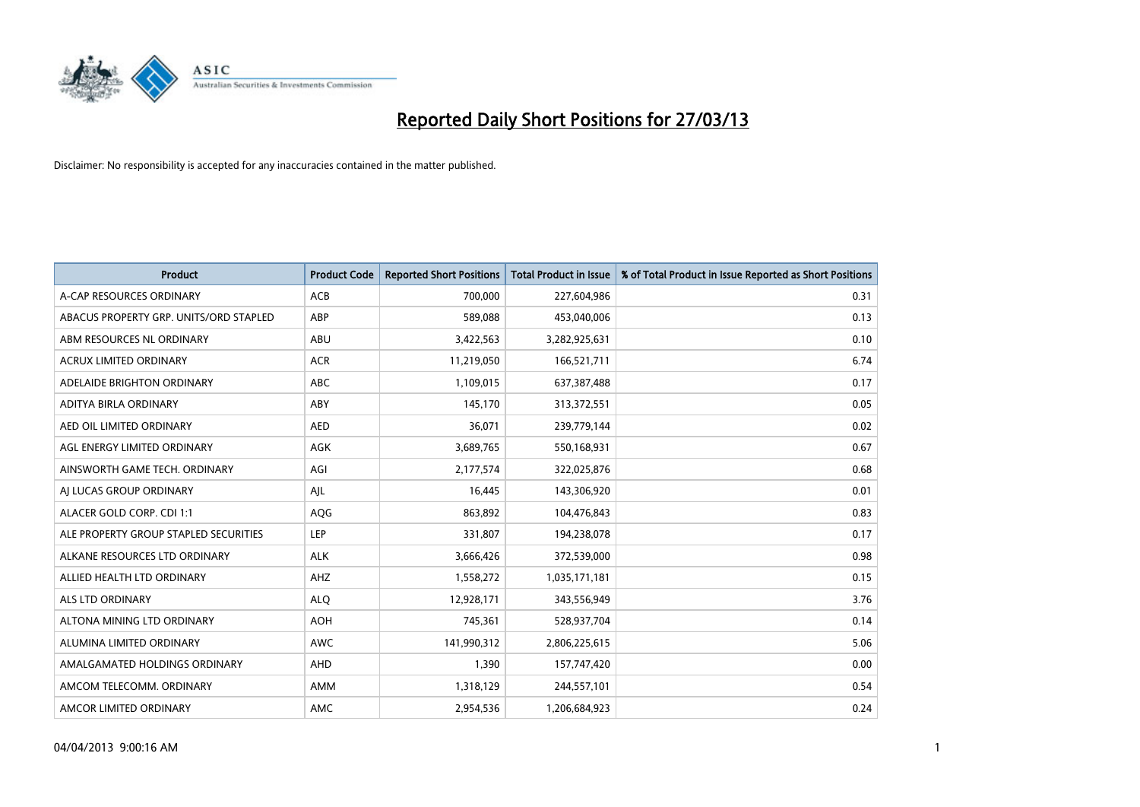

| <b>Product</b>                         | <b>Product Code</b> | <b>Reported Short Positions</b> | <b>Total Product in Issue</b> | % of Total Product in Issue Reported as Short Positions |
|----------------------------------------|---------------------|---------------------------------|-------------------------------|---------------------------------------------------------|
| A-CAP RESOURCES ORDINARY               | <b>ACB</b>          | 700,000                         | 227,604,986                   | 0.31                                                    |
| ABACUS PROPERTY GRP. UNITS/ORD STAPLED | ABP                 | 589,088                         | 453,040,006                   | 0.13                                                    |
| ABM RESOURCES NL ORDINARY              | ABU                 | 3,422,563                       | 3,282,925,631                 | 0.10                                                    |
| <b>ACRUX LIMITED ORDINARY</b>          | <b>ACR</b>          | 11,219,050                      | 166,521,711                   | 6.74                                                    |
| ADELAIDE BRIGHTON ORDINARY             | ABC                 | 1,109,015                       | 637, 387, 488                 | 0.17                                                    |
| ADITYA BIRLA ORDINARY                  | ABY                 | 145,170                         | 313,372,551                   | 0.05                                                    |
| AED OIL LIMITED ORDINARY               | <b>AED</b>          | 36,071                          | 239,779,144                   | 0.02                                                    |
| AGL ENERGY LIMITED ORDINARY            | AGK                 | 3,689,765                       | 550,168,931                   | 0.67                                                    |
| AINSWORTH GAME TECH. ORDINARY          | AGI                 | 2,177,574                       | 322,025,876                   | 0.68                                                    |
| AI LUCAS GROUP ORDINARY                | AJL                 | 16,445                          | 143,306,920                   | 0.01                                                    |
| ALACER GOLD CORP. CDI 1:1              | AQG                 | 863,892                         | 104,476,843                   | 0.83                                                    |
| ALE PROPERTY GROUP STAPLED SECURITIES  | LEP                 | 331,807                         | 194,238,078                   | 0.17                                                    |
| ALKANE RESOURCES LTD ORDINARY          | <b>ALK</b>          | 3,666,426                       | 372,539,000                   | 0.98                                                    |
| ALLIED HEALTH LTD ORDINARY             | AHZ                 | 1,558,272                       | 1,035,171,181                 | 0.15                                                    |
| ALS LTD ORDINARY                       | <b>ALQ</b>          | 12,928,171                      | 343,556,949                   | 3.76                                                    |
| ALTONA MINING LTD ORDINARY             | <b>AOH</b>          | 745,361                         | 528,937,704                   | 0.14                                                    |
| ALUMINA LIMITED ORDINARY               | <b>AWC</b>          | 141,990,312                     | 2,806,225,615                 | 5.06                                                    |
| AMALGAMATED HOLDINGS ORDINARY          | AHD                 | 1,390                           | 157,747,420                   | 0.00                                                    |
| AMCOM TELECOMM, ORDINARY               | AMM                 | 1,318,129                       | 244,557,101                   | 0.54                                                    |
| AMCOR LIMITED ORDINARY                 | AMC                 | 2,954,536                       | 1,206,684,923                 | 0.24                                                    |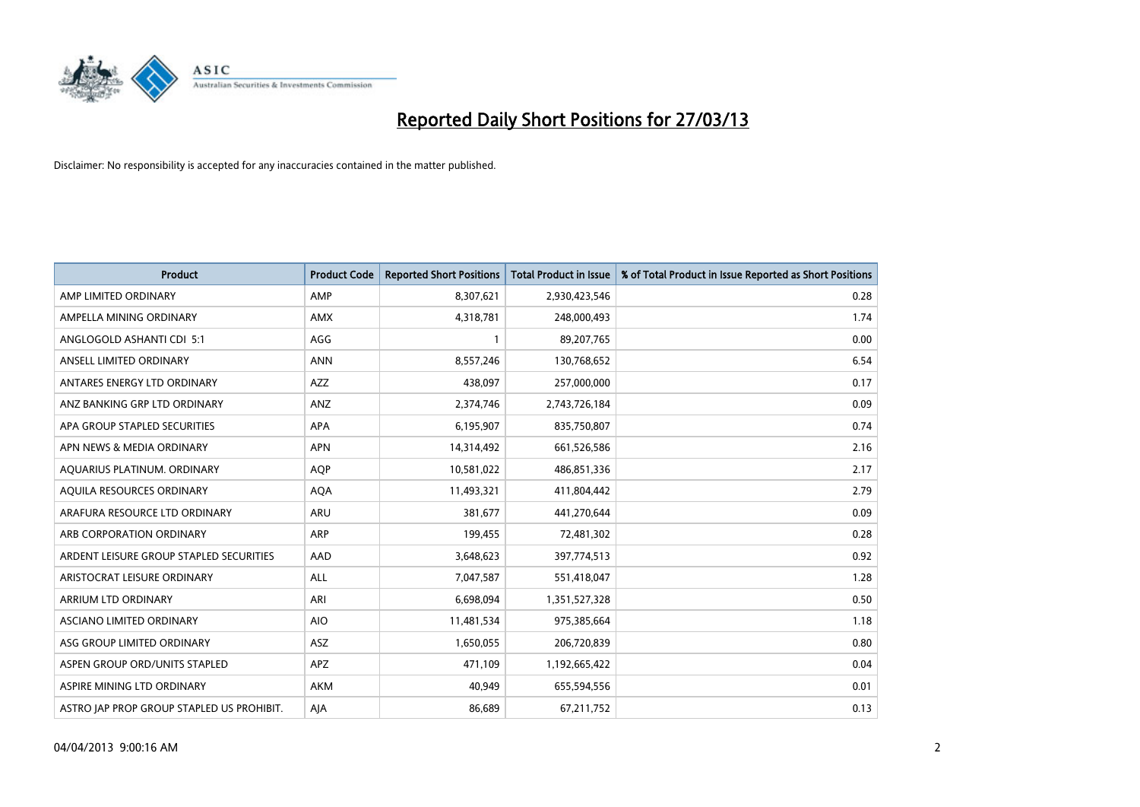

| <b>Product</b>                            | <b>Product Code</b> | <b>Reported Short Positions</b> | <b>Total Product in Issue</b> | % of Total Product in Issue Reported as Short Positions |
|-------------------------------------------|---------------------|---------------------------------|-------------------------------|---------------------------------------------------------|
| AMP LIMITED ORDINARY                      | AMP                 | 8,307,621                       | 2,930,423,546                 | 0.28                                                    |
| AMPELLA MINING ORDINARY                   | AMX                 | 4,318,781                       | 248,000,493                   | 1.74                                                    |
| ANGLOGOLD ASHANTI CDI 5:1                 | AGG                 | 1                               | 89,207,765                    | 0.00                                                    |
| ANSELL LIMITED ORDINARY                   | <b>ANN</b>          | 8,557,246                       | 130,768,652                   | 6.54                                                    |
| ANTARES ENERGY LTD ORDINARY               | AZZ                 | 438,097                         | 257,000,000                   | 0.17                                                    |
| ANZ BANKING GRP LTD ORDINARY              | ANZ                 | 2,374,746                       | 2,743,726,184                 | 0.09                                                    |
| APA GROUP STAPLED SECURITIES              | <b>APA</b>          | 6,195,907                       | 835,750,807                   | 0.74                                                    |
| APN NEWS & MEDIA ORDINARY                 | <b>APN</b>          | 14,314,492                      | 661,526,586                   | 2.16                                                    |
| AQUARIUS PLATINUM. ORDINARY               | <b>AOP</b>          | 10,581,022                      | 486,851,336                   | 2.17                                                    |
| AQUILA RESOURCES ORDINARY                 | <b>AQA</b>          | 11,493,321                      | 411,804,442                   | 2.79                                                    |
| ARAFURA RESOURCE LTD ORDINARY             | <b>ARU</b>          | 381,677                         | 441,270,644                   | 0.09                                                    |
| ARB CORPORATION ORDINARY                  | ARP                 | 199,455                         | 72,481,302                    | 0.28                                                    |
| ARDENT LEISURE GROUP STAPLED SECURITIES   | AAD                 | 3,648,623                       | 397,774,513                   | 0.92                                                    |
| ARISTOCRAT LEISURE ORDINARY               | ALL                 | 7,047,587                       | 551,418,047                   | 1.28                                                    |
| ARRIUM LTD ORDINARY                       | ARI                 | 6,698,094                       | 1,351,527,328                 | 0.50                                                    |
| ASCIANO LIMITED ORDINARY                  | <b>AIO</b>          | 11,481,534                      | 975,385,664                   | 1.18                                                    |
| ASG GROUP LIMITED ORDINARY                | ASZ                 | 1,650,055                       | 206,720,839                   | 0.80                                                    |
| ASPEN GROUP ORD/UNITS STAPLED             | <b>APZ</b>          | 471,109                         | 1,192,665,422                 | 0.04                                                    |
| ASPIRE MINING LTD ORDINARY                | <b>AKM</b>          | 40,949                          | 655,594,556                   | 0.01                                                    |
| ASTRO JAP PROP GROUP STAPLED US PROHIBIT. | AJA                 | 86,689                          | 67,211,752                    | 0.13                                                    |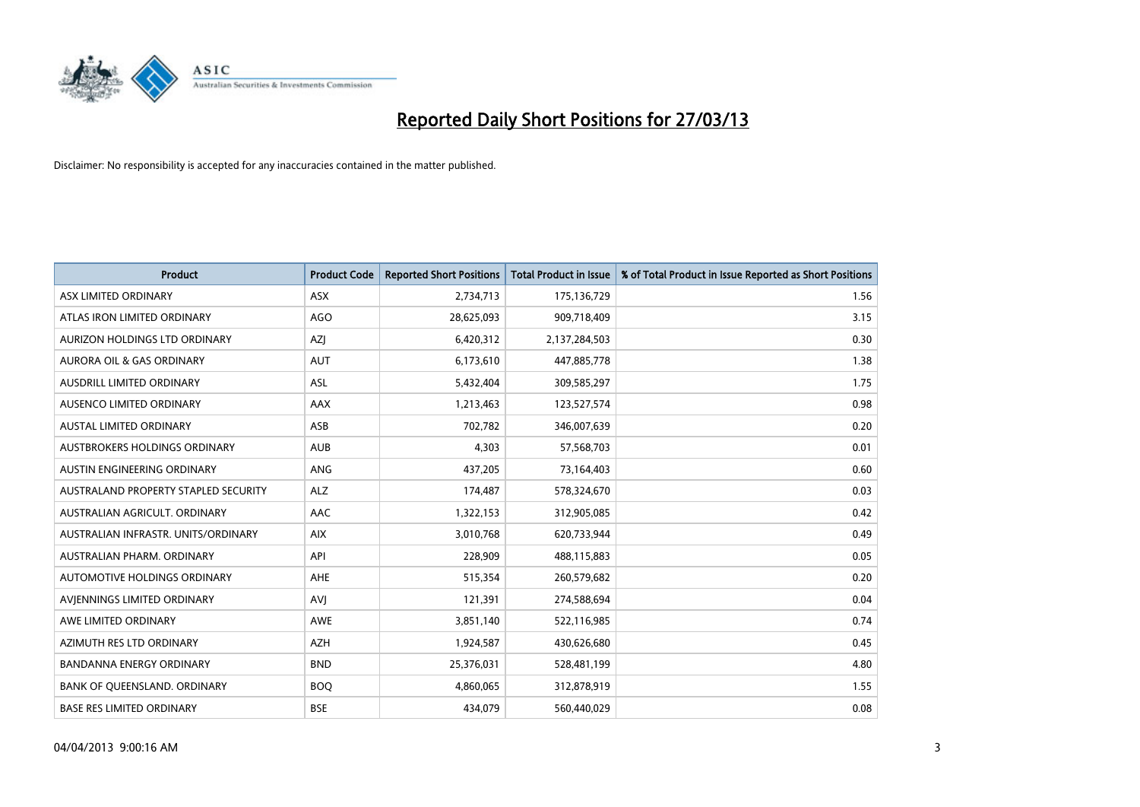

| <b>Product</b>                       | <b>Product Code</b> | <b>Reported Short Positions</b> | <b>Total Product in Issue</b> | % of Total Product in Issue Reported as Short Positions |
|--------------------------------------|---------------------|---------------------------------|-------------------------------|---------------------------------------------------------|
| ASX LIMITED ORDINARY                 | <b>ASX</b>          | 2,734,713                       | 175,136,729                   | 1.56                                                    |
| ATLAS IRON LIMITED ORDINARY          | <b>AGO</b>          | 28,625,093                      | 909,718,409                   | 3.15                                                    |
| AURIZON HOLDINGS LTD ORDINARY        | AZJ                 | 6,420,312                       | 2,137,284,503                 | 0.30                                                    |
| AURORA OIL & GAS ORDINARY            | <b>AUT</b>          | 6,173,610                       | 447,885,778                   | 1.38                                                    |
| <b>AUSDRILL LIMITED ORDINARY</b>     | ASL                 | 5,432,404                       | 309,585,297                   | 1.75                                                    |
| AUSENCO LIMITED ORDINARY             | <b>AAX</b>          | 1,213,463                       | 123,527,574                   | 0.98                                                    |
| <b>AUSTAL LIMITED ORDINARY</b>       | ASB                 | 702,782                         | 346,007,639                   | 0.20                                                    |
| AUSTBROKERS HOLDINGS ORDINARY        | <b>AUB</b>          | 4,303                           | 57,568,703                    | 0.01                                                    |
| AUSTIN ENGINEERING ORDINARY          | ANG                 | 437,205                         | 73,164,403                    | 0.60                                                    |
| AUSTRALAND PROPERTY STAPLED SECURITY | <b>ALZ</b>          | 174,487                         | 578,324,670                   | 0.03                                                    |
| AUSTRALIAN AGRICULT. ORDINARY        | AAC                 | 1,322,153                       | 312,905,085                   | 0.42                                                    |
| AUSTRALIAN INFRASTR, UNITS/ORDINARY  | <b>AIX</b>          | 3,010,768                       | 620,733,944                   | 0.49                                                    |
| AUSTRALIAN PHARM. ORDINARY           | API                 | 228,909                         | 488,115,883                   | 0.05                                                    |
| AUTOMOTIVE HOLDINGS ORDINARY         | AHE                 | 515,354                         | 260,579,682                   | 0.20                                                    |
| AVIENNINGS LIMITED ORDINARY          | <b>AVJ</b>          | 121,391                         | 274,588,694                   | 0.04                                                    |
| AWE LIMITED ORDINARY                 | AWE                 | 3,851,140                       | 522,116,985                   | 0.74                                                    |
| AZIMUTH RES LTD ORDINARY             | <b>AZH</b>          | 1,924,587                       | 430,626,680                   | 0.45                                                    |
| <b>BANDANNA ENERGY ORDINARY</b>      | <b>BND</b>          | 25,376,031                      | 528,481,199                   | 4.80                                                    |
| BANK OF QUEENSLAND. ORDINARY         | <b>BOQ</b>          | 4,860,065                       | 312,878,919                   | 1.55                                                    |
| <b>BASE RES LIMITED ORDINARY</b>     | <b>BSE</b>          | 434,079                         | 560,440,029                   | 0.08                                                    |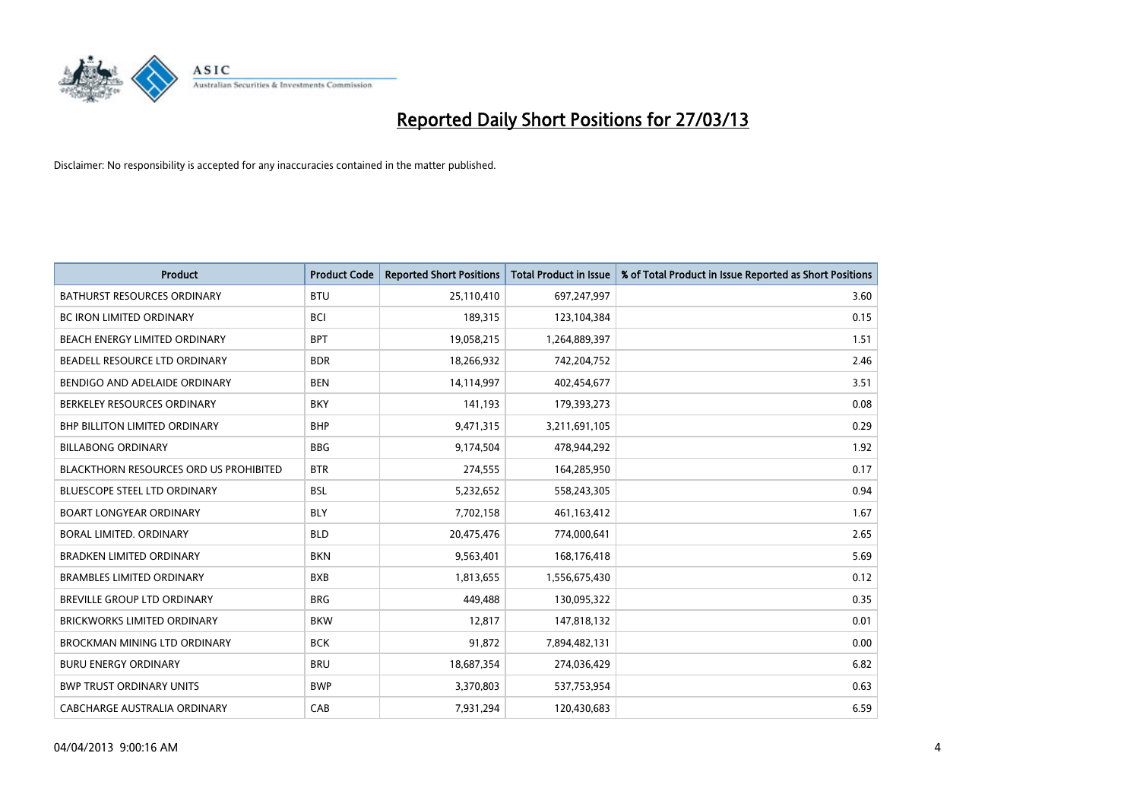

| <b>Product</b>                                | <b>Product Code</b> | <b>Reported Short Positions</b> | <b>Total Product in Issue</b> | % of Total Product in Issue Reported as Short Positions |
|-----------------------------------------------|---------------------|---------------------------------|-------------------------------|---------------------------------------------------------|
| <b>BATHURST RESOURCES ORDINARY</b>            | <b>BTU</b>          | 25,110,410                      | 697,247,997                   | 3.60                                                    |
| BC IRON LIMITED ORDINARY                      | <b>BCI</b>          | 189,315                         | 123,104,384                   | 0.15                                                    |
| BEACH ENERGY LIMITED ORDINARY                 | <b>BPT</b>          | 19,058,215                      | 1,264,889,397                 | 1.51                                                    |
| BEADELL RESOURCE LTD ORDINARY                 | <b>BDR</b>          | 18,266,932                      | 742,204,752                   | 2.46                                                    |
| BENDIGO AND ADELAIDE ORDINARY                 | <b>BEN</b>          | 14,114,997                      | 402,454,677                   | 3.51                                                    |
| BERKELEY RESOURCES ORDINARY                   | <b>BKY</b>          | 141,193                         | 179,393,273                   | 0.08                                                    |
| <b>BHP BILLITON LIMITED ORDINARY</b>          | <b>BHP</b>          | 9,471,315                       | 3,211,691,105                 | 0.29                                                    |
| <b>BILLABONG ORDINARY</b>                     | <b>BBG</b>          | 9,174,504                       | 478,944,292                   | 1.92                                                    |
| <b>BLACKTHORN RESOURCES ORD US PROHIBITED</b> | <b>BTR</b>          | 274,555                         | 164,285,950                   | 0.17                                                    |
| <b>BLUESCOPE STEEL LTD ORDINARY</b>           | <b>BSL</b>          | 5,232,652                       | 558,243,305                   | 0.94                                                    |
| <b>BOART LONGYEAR ORDINARY</b>                | <b>BLY</b>          | 7,702,158                       | 461,163,412                   | 1.67                                                    |
| BORAL LIMITED, ORDINARY                       | <b>BLD</b>          | 20,475,476                      | 774,000,641                   | 2.65                                                    |
| <b>BRADKEN LIMITED ORDINARY</b>               | <b>BKN</b>          | 9,563,401                       | 168,176,418                   | 5.69                                                    |
| <b>BRAMBLES LIMITED ORDINARY</b>              | <b>BXB</b>          | 1,813,655                       | 1,556,675,430                 | 0.12                                                    |
| BREVILLE GROUP LTD ORDINARY                   | <b>BRG</b>          | 449,488                         | 130,095,322                   | 0.35                                                    |
| BRICKWORKS LIMITED ORDINARY                   | <b>BKW</b>          | 12,817                          | 147,818,132                   | 0.01                                                    |
| BROCKMAN MINING LTD ORDINARY                  | <b>BCK</b>          | 91,872                          | 7,894,482,131                 | 0.00                                                    |
| <b>BURU ENERGY ORDINARY</b>                   | <b>BRU</b>          | 18,687,354                      | 274,036,429                   | 6.82                                                    |
| <b>BWP TRUST ORDINARY UNITS</b>               | <b>BWP</b>          | 3,370,803                       | 537,753,954                   | 0.63                                                    |
| CABCHARGE AUSTRALIA ORDINARY                  | CAB                 | 7,931,294                       | 120,430,683                   | 6.59                                                    |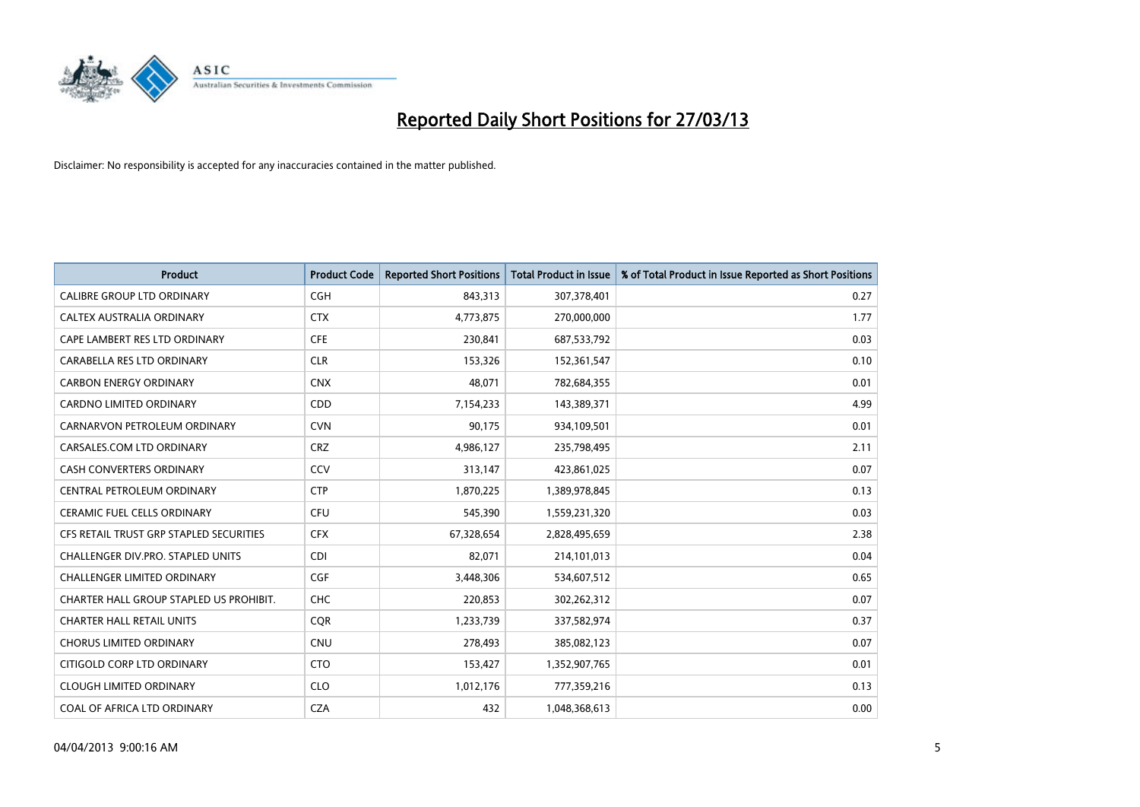

| <b>Product</b>                          | <b>Product Code</b> | <b>Reported Short Positions</b> | <b>Total Product in Issue</b> | % of Total Product in Issue Reported as Short Positions |
|-----------------------------------------|---------------------|---------------------------------|-------------------------------|---------------------------------------------------------|
| CALIBRE GROUP LTD ORDINARY              | <b>CGH</b>          | 843,313                         | 307,378,401                   | 0.27                                                    |
| CALTEX AUSTRALIA ORDINARY               | <b>CTX</b>          | 4,773,875                       | 270,000,000                   | 1.77                                                    |
| CAPE LAMBERT RES LTD ORDINARY           | <b>CFE</b>          | 230,841                         | 687,533,792                   | 0.03                                                    |
| CARABELLA RES LTD ORDINARY              | <b>CLR</b>          | 153,326                         | 152,361,547                   | 0.10                                                    |
| <b>CARBON ENERGY ORDINARY</b>           | <b>CNX</b>          | 48,071                          | 782,684,355                   | 0.01                                                    |
| <b>CARDNO LIMITED ORDINARY</b>          | CDD                 | 7,154,233                       | 143,389,371                   | 4.99                                                    |
| CARNARVON PETROLEUM ORDINARY            | <b>CVN</b>          | 90,175                          | 934,109,501                   | 0.01                                                    |
| CARSALES.COM LTD ORDINARY               | <b>CRZ</b>          | 4,986,127                       | 235,798,495                   | 2.11                                                    |
| <b>CASH CONVERTERS ORDINARY</b>         | CCV                 | 313,147                         | 423,861,025                   | 0.07                                                    |
| CENTRAL PETROLEUM ORDINARY              | <b>CTP</b>          | 1,870,225                       | 1,389,978,845                 | 0.13                                                    |
| CERAMIC FUEL CELLS ORDINARY             | <b>CFU</b>          | 545,390                         | 1,559,231,320                 | 0.03                                                    |
| CFS RETAIL TRUST GRP STAPLED SECURITIES | <b>CFX</b>          | 67,328,654                      | 2,828,495,659                 | 2.38                                                    |
| CHALLENGER DIV.PRO. STAPLED UNITS       | <b>CDI</b>          | 82,071                          | 214,101,013                   | 0.04                                                    |
| <b>CHALLENGER LIMITED ORDINARY</b>      | <b>CGF</b>          | 3,448,306                       | 534,607,512                   | 0.65                                                    |
| CHARTER HALL GROUP STAPLED US PROHIBIT. | <b>CHC</b>          | 220,853                         | 302,262,312                   | 0.07                                                    |
| <b>CHARTER HALL RETAIL UNITS</b>        | <b>CQR</b>          | 1,233,739                       | 337,582,974                   | 0.37                                                    |
| <b>CHORUS LIMITED ORDINARY</b>          | <b>CNU</b>          | 278,493                         | 385,082,123                   | 0.07                                                    |
| CITIGOLD CORP LTD ORDINARY              | <b>CTO</b>          | 153,427                         | 1,352,907,765                 | 0.01                                                    |
| <b>CLOUGH LIMITED ORDINARY</b>          | <b>CLO</b>          | 1,012,176                       | 777,359,216                   | 0.13                                                    |
| COAL OF AFRICA LTD ORDINARY             | <b>CZA</b>          | 432                             | 1,048,368,613                 | 0.00                                                    |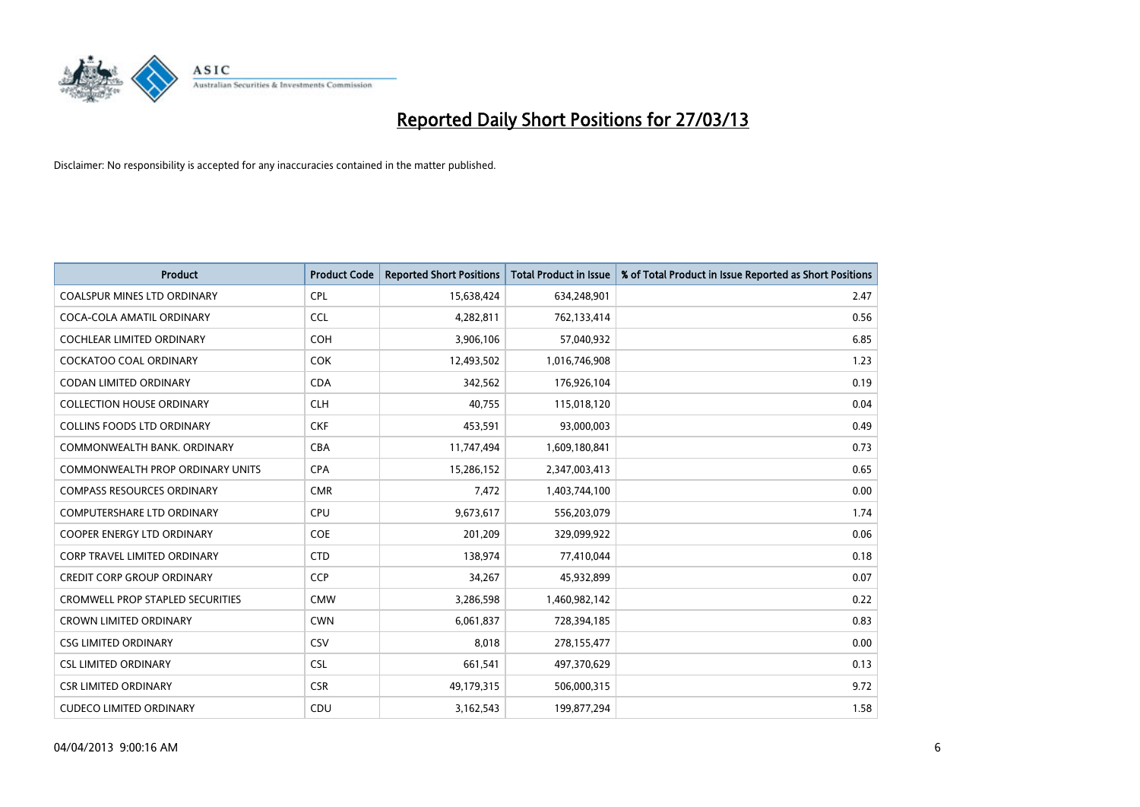

| <b>Product</b>                          | <b>Product Code</b> | <b>Reported Short Positions</b> | <b>Total Product in Issue</b> | % of Total Product in Issue Reported as Short Positions |
|-----------------------------------------|---------------------|---------------------------------|-------------------------------|---------------------------------------------------------|
| <b>COALSPUR MINES LTD ORDINARY</b>      | <b>CPL</b>          | 15,638,424                      | 634,248,901                   | 2.47                                                    |
| COCA-COLA AMATIL ORDINARY               | <b>CCL</b>          | 4,282,811                       | 762,133,414                   | 0.56                                                    |
| <b>COCHLEAR LIMITED ORDINARY</b>        | <b>COH</b>          | 3,906,106                       | 57,040,932                    | 6.85                                                    |
| COCKATOO COAL ORDINARY                  | <b>COK</b>          | 12,493,502                      | 1,016,746,908                 | 1.23                                                    |
| <b>CODAN LIMITED ORDINARY</b>           | <b>CDA</b>          | 342,562                         | 176,926,104                   | 0.19                                                    |
| <b>COLLECTION HOUSE ORDINARY</b>        | <b>CLH</b>          | 40,755                          | 115,018,120                   | 0.04                                                    |
| <b>COLLINS FOODS LTD ORDINARY</b>       | <b>CKF</b>          | 453,591                         | 93,000,003                    | 0.49                                                    |
| COMMONWEALTH BANK, ORDINARY             | <b>CBA</b>          | 11,747,494                      | 1,609,180,841                 | 0.73                                                    |
| <b>COMMONWEALTH PROP ORDINARY UNITS</b> | <b>CPA</b>          | 15,286,152                      | 2,347,003,413                 | 0.65                                                    |
| <b>COMPASS RESOURCES ORDINARY</b>       | <b>CMR</b>          | 7,472                           | 1,403,744,100                 | 0.00                                                    |
| <b>COMPUTERSHARE LTD ORDINARY</b>       | <b>CPU</b>          | 9,673,617                       | 556,203,079                   | 1.74                                                    |
| <b>COOPER ENERGY LTD ORDINARY</b>       | <b>COE</b>          | 201,209                         | 329,099,922                   | 0.06                                                    |
| <b>CORP TRAVEL LIMITED ORDINARY</b>     | <b>CTD</b>          | 138,974                         | 77,410,044                    | 0.18                                                    |
| <b>CREDIT CORP GROUP ORDINARY</b>       | <b>CCP</b>          | 34,267                          | 45,932,899                    | 0.07                                                    |
| <b>CROMWELL PROP STAPLED SECURITIES</b> | <b>CMW</b>          | 3,286,598                       | 1,460,982,142                 | 0.22                                                    |
| <b>CROWN LIMITED ORDINARY</b>           | <b>CWN</b>          | 6,061,837                       | 728,394,185                   | 0.83                                                    |
| <b>CSG LIMITED ORDINARY</b>             | CSV                 | 8,018                           | 278,155,477                   | 0.00                                                    |
| <b>CSL LIMITED ORDINARY</b>             | <b>CSL</b>          | 661,541                         | 497,370,629                   | 0.13                                                    |
| <b>CSR LIMITED ORDINARY</b>             | <b>CSR</b>          | 49,179,315                      | 506,000,315                   | 9.72                                                    |
| <b>CUDECO LIMITED ORDINARY</b>          | CDU                 | 3,162,543                       | 199,877,294                   | 1.58                                                    |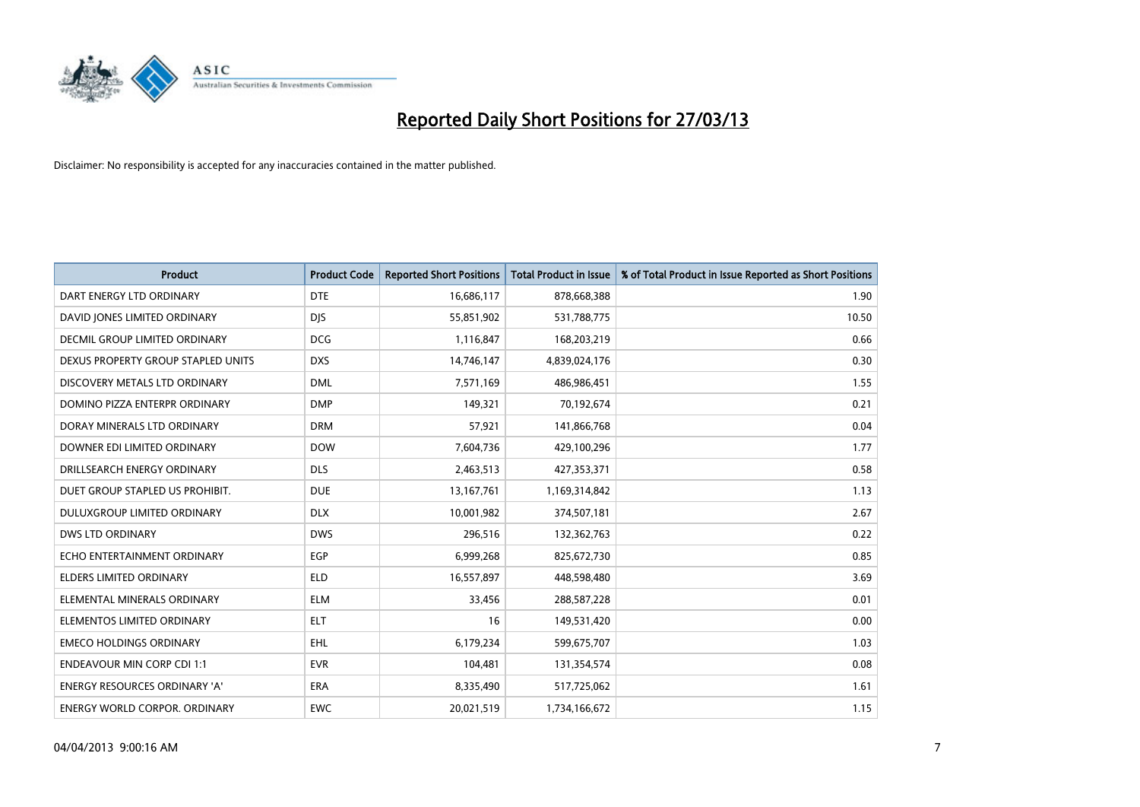

| <b>Product</b>                       | <b>Product Code</b> | <b>Reported Short Positions</b> | <b>Total Product in Issue</b> | % of Total Product in Issue Reported as Short Positions |
|--------------------------------------|---------------------|---------------------------------|-------------------------------|---------------------------------------------------------|
| DART ENERGY LTD ORDINARY             | <b>DTE</b>          | 16,686,117                      | 878,668,388                   | 1.90                                                    |
| DAVID JONES LIMITED ORDINARY         | <b>DIS</b>          | 55,851,902                      | 531,788,775                   | 10.50                                                   |
| <b>DECMIL GROUP LIMITED ORDINARY</b> | <b>DCG</b>          | 1,116,847                       | 168,203,219                   | 0.66                                                    |
| DEXUS PROPERTY GROUP STAPLED UNITS   | <b>DXS</b>          | 14,746,147                      | 4,839,024,176                 | 0.30                                                    |
| DISCOVERY METALS LTD ORDINARY        | <b>DML</b>          | 7,571,169                       | 486,986,451                   | 1.55                                                    |
| DOMINO PIZZA ENTERPR ORDINARY        | <b>DMP</b>          | 149,321                         | 70,192,674                    | 0.21                                                    |
| DORAY MINERALS LTD ORDINARY          | <b>DRM</b>          | 57,921                          | 141,866,768                   | 0.04                                                    |
| DOWNER EDI LIMITED ORDINARY          | <b>DOW</b>          | 7,604,736                       | 429,100,296                   | 1.77                                                    |
| DRILLSEARCH ENERGY ORDINARY          | <b>DLS</b>          | 2,463,513                       | 427,353,371                   | 0.58                                                    |
| DUET GROUP STAPLED US PROHIBIT.      | <b>DUE</b>          | 13, 167, 761                    | 1,169,314,842                 | 1.13                                                    |
| DULUXGROUP LIMITED ORDINARY          | <b>DLX</b>          | 10,001,982                      | 374,507,181                   | 2.67                                                    |
| <b>DWS LTD ORDINARY</b>              | <b>DWS</b>          | 296,516                         | 132,362,763                   | 0.22                                                    |
| ECHO ENTERTAINMENT ORDINARY          | <b>EGP</b>          | 6,999,268                       | 825,672,730                   | 0.85                                                    |
| <b>ELDERS LIMITED ORDINARY</b>       | <b>ELD</b>          | 16,557,897                      | 448,598,480                   | 3.69                                                    |
| ELEMENTAL MINERALS ORDINARY          | <b>ELM</b>          | 33,456                          | 288,587,228                   | 0.01                                                    |
| ELEMENTOS LIMITED ORDINARY           | <b>ELT</b>          | 16                              | 149,531,420                   | 0.00                                                    |
| <b>EMECO HOLDINGS ORDINARY</b>       | <b>EHL</b>          | 6,179,234                       | 599,675,707                   | 1.03                                                    |
| <b>ENDEAVOUR MIN CORP CDI 1:1</b>    | <b>EVR</b>          | 104,481                         | 131,354,574                   | 0.08                                                    |
| <b>ENERGY RESOURCES ORDINARY 'A'</b> | <b>ERA</b>          | 8,335,490                       | 517,725,062                   | 1.61                                                    |
| <b>ENERGY WORLD CORPOR. ORDINARY</b> | <b>EWC</b>          | 20,021,519                      | 1,734,166,672                 | 1.15                                                    |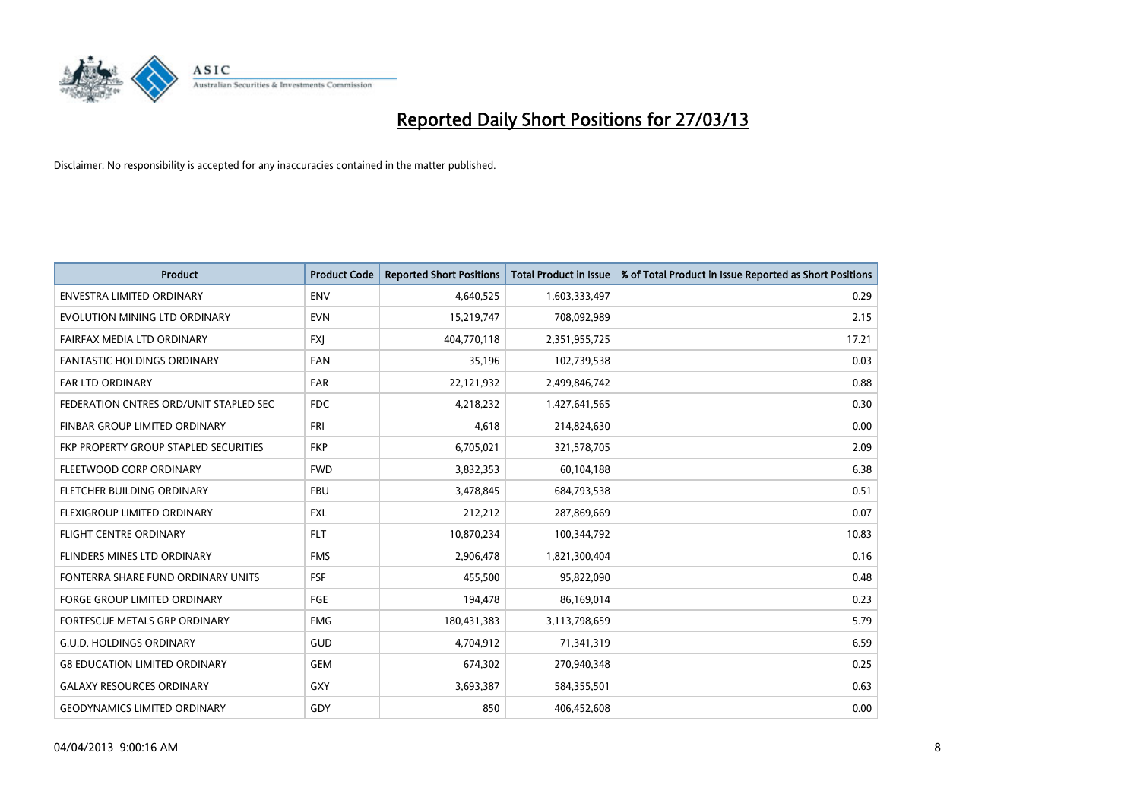

| Product                                | <b>Product Code</b> | <b>Reported Short Positions</b> | <b>Total Product in Issue</b> | % of Total Product in Issue Reported as Short Positions |
|----------------------------------------|---------------------|---------------------------------|-------------------------------|---------------------------------------------------------|
| <b>ENVESTRA LIMITED ORDINARY</b>       | <b>ENV</b>          | 4,640,525                       | 1,603,333,497                 | 0.29                                                    |
| EVOLUTION MINING LTD ORDINARY          | <b>EVN</b>          | 15,219,747                      | 708,092,989                   | 2.15                                                    |
| FAIRFAX MEDIA LTD ORDINARY             | <b>FXI</b>          | 404,770,118                     | 2,351,955,725                 | 17.21                                                   |
| <b>FANTASTIC HOLDINGS ORDINARY</b>     | <b>FAN</b>          | 35,196                          | 102,739,538                   | 0.03                                                    |
| <b>FAR LTD ORDINARY</b>                | <b>FAR</b>          | 22,121,932                      | 2,499,846,742                 | 0.88                                                    |
| FEDERATION CNTRES ORD/UNIT STAPLED SEC | <b>FDC</b>          | 4,218,232                       | 1,427,641,565                 | 0.30                                                    |
| FINBAR GROUP LIMITED ORDINARY          | <b>FRI</b>          | 4,618                           | 214,824,630                   | 0.00                                                    |
| FKP PROPERTY GROUP STAPLED SECURITIES  | <b>FKP</b>          | 6,705,021                       | 321,578,705                   | 2.09                                                    |
| FLEETWOOD CORP ORDINARY                | <b>FWD</b>          | 3,832,353                       | 60,104,188                    | 6.38                                                    |
| FLETCHER BUILDING ORDINARY             | <b>FBU</b>          | 3,478,845                       | 684,793,538                   | 0.51                                                    |
| FLEXIGROUP LIMITED ORDINARY            | <b>FXL</b>          | 212,212                         | 287,869,669                   | 0.07                                                    |
| <b>FLIGHT CENTRE ORDINARY</b>          | <b>FLT</b>          | 10,870,234                      | 100,344,792                   | 10.83                                                   |
| FLINDERS MINES LTD ORDINARY            | <b>FMS</b>          | 2,906,478                       | 1,821,300,404                 | 0.16                                                    |
| FONTERRA SHARE FUND ORDINARY UNITS     | <b>FSF</b>          | 455,500                         | 95,822,090                    | 0.48                                                    |
| <b>FORGE GROUP LIMITED ORDINARY</b>    | FGE                 | 194,478                         | 86,169,014                    | 0.23                                                    |
| FORTESCUE METALS GRP ORDINARY          | <b>FMG</b>          | 180,431,383                     | 3,113,798,659                 | 5.79                                                    |
| <b>G.U.D. HOLDINGS ORDINARY</b>        | GUD                 | 4,704,912                       | 71,341,319                    | 6.59                                                    |
| <b>G8 EDUCATION LIMITED ORDINARY</b>   | <b>GEM</b>          | 674,302                         | 270,940,348                   | 0.25                                                    |
| <b>GALAXY RESOURCES ORDINARY</b>       | GXY                 | 3,693,387                       | 584,355,501                   | 0.63                                                    |
| <b>GEODYNAMICS LIMITED ORDINARY</b>    | GDY                 | 850                             | 406,452,608                   | 0.00                                                    |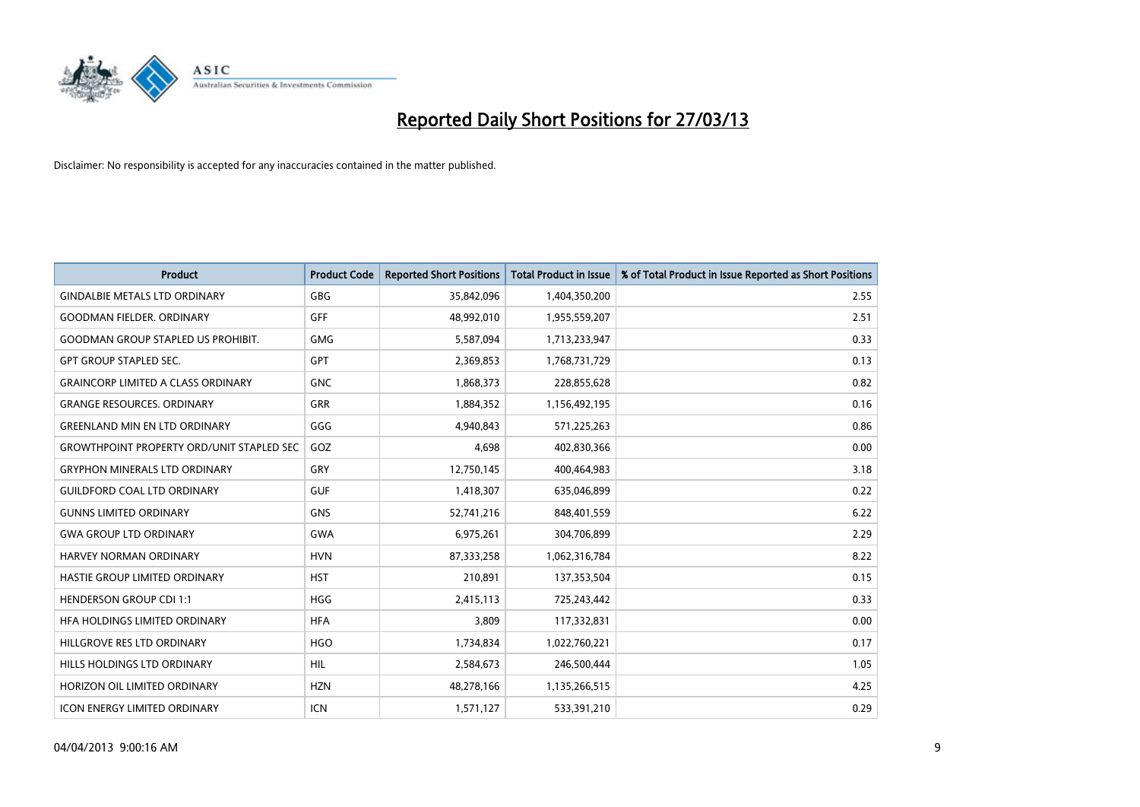

| <b>Product</b>                                   | <b>Product Code</b> | <b>Reported Short Positions</b> | <b>Total Product in Issue</b> | % of Total Product in Issue Reported as Short Positions |
|--------------------------------------------------|---------------------|---------------------------------|-------------------------------|---------------------------------------------------------|
| <b>GINDALBIE METALS LTD ORDINARY</b>             | GBG                 | 35,842,096                      | 1,404,350,200                 | 2.55                                                    |
| <b>GOODMAN FIELDER, ORDINARY</b>                 | GFF                 | 48,992,010                      | 1,955,559,207                 | 2.51                                                    |
| <b>GOODMAN GROUP STAPLED US PROHIBIT.</b>        | <b>GMG</b>          | 5,587,094                       | 1,713,233,947                 | 0.33                                                    |
| <b>GPT GROUP STAPLED SEC.</b>                    | GPT                 | 2,369,853                       | 1,768,731,729                 | 0.13                                                    |
| <b>GRAINCORP LIMITED A CLASS ORDINARY</b>        | <b>GNC</b>          | 1,868,373                       | 228,855,628                   | 0.82                                                    |
| <b>GRANGE RESOURCES, ORDINARY</b>                | <b>GRR</b>          | 1,884,352                       | 1,156,492,195                 | 0.16                                                    |
| <b>GREENLAND MIN EN LTD ORDINARY</b>             | GGG                 | 4,940,843                       | 571,225,263                   | 0.86                                                    |
| <b>GROWTHPOINT PROPERTY ORD/UNIT STAPLED SEC</b> | GOZ                 | 4,698                           | 402,830,366                   | 0.00                                                    |
| <b>GRYPHON MINERALS LTD ORDINARY</b>             | GRY                 | 12,750,145                      | 400,464,983                   | 3.18                                                    |
| <b>GUILDFORD COAL LTD ORDINARY</b>               | <b>GUF</b>          | 1,418,307                       | 635,046,899                   | 0.22                                                    |
| <b>GUNNS LIMITED ORDINARY</b>                    | <b>GNS</b>          | 52,741,216                      | 848,401,559                   | 6.22                                                    |
| <b>GWA GROUP LTD ORDINARY</b>                    | <b>GWA</b>          | 6,975,261                       | 304,706,899                   | 2.29                                                    |
| HARVEY NORMAN ORDINARY                           | <b>HVN</b>          | 87,333,258                      | 1,062,316,784                 | 8.22                                                    |
| HASTIE GROUP LIMITED ORDINARY                    | <b>HST</b>          | 210,891                         | 137,353,504                   | 0.15                                                    |
| <b>HENDERSON GROUP CDI 1:1</b>                   | <b>HGG</b>          | 2,415,113                       | 725,243,442                   | 0.33                                                    |
| HFA HOLDINGS LIMITED ORDINARY                    | <b>HFA</b>          | 3,809                           | 117,332,831                   | 0.00                                                    |
| HILLGROVE RES LTD ORDINARY                       | <b>HGO</b>          | 1,734,834                       | 1,022,760,221                 | 0.17                                                    |
| HILLS HOLDINGS LTD ORDINARY                      | <b>HIL</b>          | 2,584,673                       | 246,500,444                   | 1.05                                                    |
| HORIZON OIL LIMITED ORDINARY                     | <b>HZN</b>          | 48,278,166                      | 1,135,266,515                 | 4.25                                                    |
| <b>ICON ENERGY LIMITED ORDINARY</b>              | <b>ICN</b>          | 1,571,127                       | 533,391,210                   | 0.29                                                    |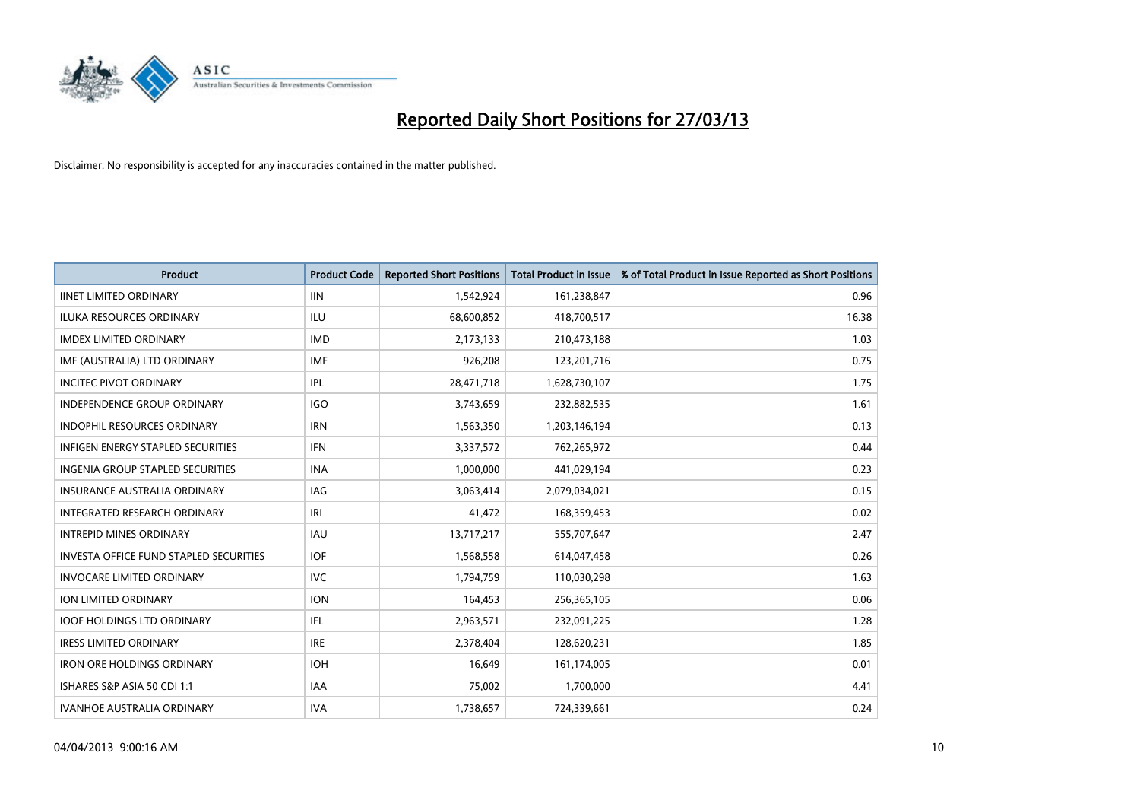

| <b>Product</b>                                | <b>Product Code</b> | <b>Reported Short Positions</b> | <b>Total Product in Issue</b> | % of Total Product in Issue Reported as Short Positions |
|-----------------------------------------------|---------------------|---------------------------------|-------------------------------|---------------------------------------------------------|
| <b>IINET LIMITED ORDINARY</b>                 | <b>IIN</b>          | 1,542,924                       | 161,238,847                   | 0.96                                                    |
| ILUKA RESOURCES ORDINARY                      | ILU                 | 68,600,852                      | 418,700,517                   | 16.38                                                   |
| <b>IMDEX LIMITED ORDINARY</b>                 | <b>IMD</b>          | 2,173,133                       | 210,473,188                   | 1.03                                                    |
| IMF (AUSTRALIA) LTD ORDINARY                  | <b>IMF</b>          | 926,208                         | 123,201,716                   | 0.75                                                    |
| <b>INCITEC PIVOT ORDINARY</b>                 | IPL                 | 28,471,718                      | 1,628,730,107                 | 1.75                                                    |
| <b>INDEPENDENCE GROUP ORDINARY</b>            | <b>IGO</b>          | 3,743,659                       | 232,882,535                   | 1.61                                                    |
| INDOPHIL RESOURCES ORDINARY                   | <b>IRN</b>          | 1,563,350                       | 1,203,146,194                 | 0.13                                                    |
| INFIGEN ENERGY STAPLED SECURITIES             | <b>IFN</b>          | 3,337,572                       | 762,265,972                   | 0.44                                                    |
| <b>INGENIA GROUP STAPLED SECURITIES</b>       | <b>INA</b>          | 1,000,000                       | 441,029,194                   | 0.23                                                    |
| <b>INSURANCE AUSTRALIA ORDINARY</b>           | <b>IAG</b>          | 3,063,414                       | 2,079,034,021                 | 0.15                                                    |
| INTEGRATED RESEARCH ORDINARY                  | IRI                 | 41,472                          | 168,359,453                   | 0.02                                                    |
| <b>INTREPID MINES ORDINARY</b>                | IAU                 | 13,717,217                      | 555,707,647                   | 2.47                                                    |
| <b>INVESTA OFFICE FUND STAPLED SECURITIES</b> | <b>IOF</b>          | 1,568,558                       | 614,047,458                   | 0.26                                                    |
| <b>INVOCARE LIMITED ORDINARY</b>              | <b>IVC</b>          | 1,794,759                       | 110,030,298                   | 1.63                                                    |
| <b>ION LIMITED ORDINARY</b>                   | <b>ION</b>          | 164,453                         | 256,365,105                   | 0.06                                                    |
| <b>IOOF HOLDINGS LTD ORDINARY</b>             | IFL                 | 2,963,571                       | 232,091,225                   | 1.28                                                    |
| <b>IRESS LIMITED ORDINARY</b>                 | <b>IRE</b>          | 2,378,404                       | 128,620,231                   | 1.85                                                    |
| <b>IRON ORE HOLDINGS ORDINARY</b>             | <b>IOH</b>          | 16,649                          | 161,174,005                   | 0.01                                                    |
| ISHARES S&P ASIA 50 CDI 1:1                   | <b>IAA</b>          | 75,002                          | 1,700,000                     | 4.41                                                    |
| <b>IVANHOE AUSTRALIA ORDINARY</b>             | <b>IVA</b>          | 1,738,657                       | 724,339,661                   | 0.24                                                    |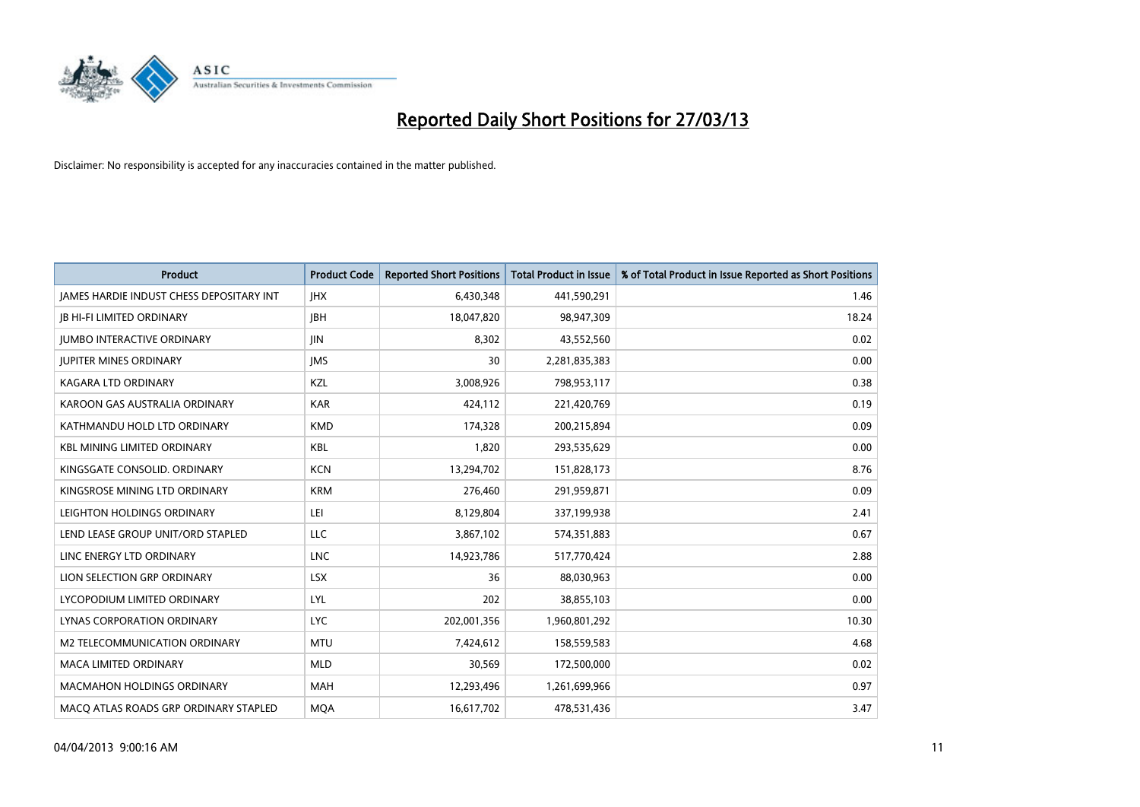

| <b>Product</b>                           | <b>Product Code</b> | <b>Reported Short Positions</b> | <b>Total Product in Issue</b> | % of Total Product in Issue Reported as Short Positions |
|------------------------------------------|---------------------|---------------------------------|-------------------------------|---------------------------------------------------------|
| JAMES HARDIE INDUST CHESS DEPOSITARY INT | <b>IHX</b>          | 6,430,348                       | 441,590,291                   | 1.46                                                    |
| <b>JB HI-FI LIMITED ORDINARY</b>         | <b>IBH</b>          | 18,047,820                      | 98,947,309                    | 18.24                                                   |
| <b>JUMBO INTERACTIVE ORDINARY</b>        | <b>IIN</b>          | 8,302                           | 43,552,560                    | 0.02                                                    |
| <b>JUPITER MINES ORDINARY</b>            | <b>IMS</b>          | 30                              | 2,281,835,383                 | 0.00                                                    |
| <b>KAGARA LTD ORDINARY</b>               | KZL                 | 3,008,926                       | 798,953,117                   | 0.38                                                    |
| KAROON GAS AUSTRALIA ORDINARY            | <b>KAR</b>          | 424,112                         | 221,420,769                   | 0.19                                                    |
| KATHMANDU HOLD LTD ORDINARY              | <b>KMD</b>          | 174,328                         | 200,215,894                   | 0.09                                                    |
| <b>KBL MINING LIMITED ORDINARY</b>       | <b>KBL</b>          | 1,820                           | 293,535,629                   | 0.00                                                    |
| KINGSGATE CONSOLID. ORDINARY             | <b>KCN</b>          | 13,294,702                      | 151,828,173                   | 8.76                                                    |
| KINGSROSE MINING LTD ORDINARY            | <b>KRM</b>          | 276,460                         | 291,959,871                   | 0.09                                                    |
| LEIGHTON HOLDINGS ORDINARY               | LEI                 | 8,129,804                       | 337,199,938                   | 2.41                                                    |
| LEND LEASE GROUP UNIT/ORD STAPLED        | LLC                 | 3,867,102                       | 574,351,883                   | 0.67                                                    |
| LINC ENERGY LTD ORDINARY                 | LNC                 | 14,923,786                      | 517,770,424                   | 2.88                                                    |
| LION SELECTION GRP ORDINARY              | <b>LSX</b>          | 36                              | 88,030,963                    | 0.00                                                    |
| LYCOPODIUM LIMITED ORDINARY              | LYL                 | 202                             | 38,855,103                    | 0.00                                                    |
| LYNAS CORPORATION ORDINARY               | <b>LYC</b>          | 202,001,356                     | 1,960,801,292                 | 10.30                                                   |
| <b>M2 TELECOMMUNICATION ORDINARY</b>     | <b>MTU</b>          | 7,424,612                       | 158,559,583                   | 4.68                                                    |
| <b>MACA LIMITED ORDINARY</b>             | <b>MLD</b>          | 30,569                          | 172,500,000                   | 0.02                                                    |
| <b>MACMAHON HOLDINGS ORDINARY</b>        | <b>MAH</b>          | 12,293,496                      | 1,261,699,966                 | 0.97                                                    |
| MACO ATLAS ROADS GRP ORDINARY STAPLED    | <b>MQA</b>          | 16,617,702                      | 478,531,436                   | 3.47                                                    |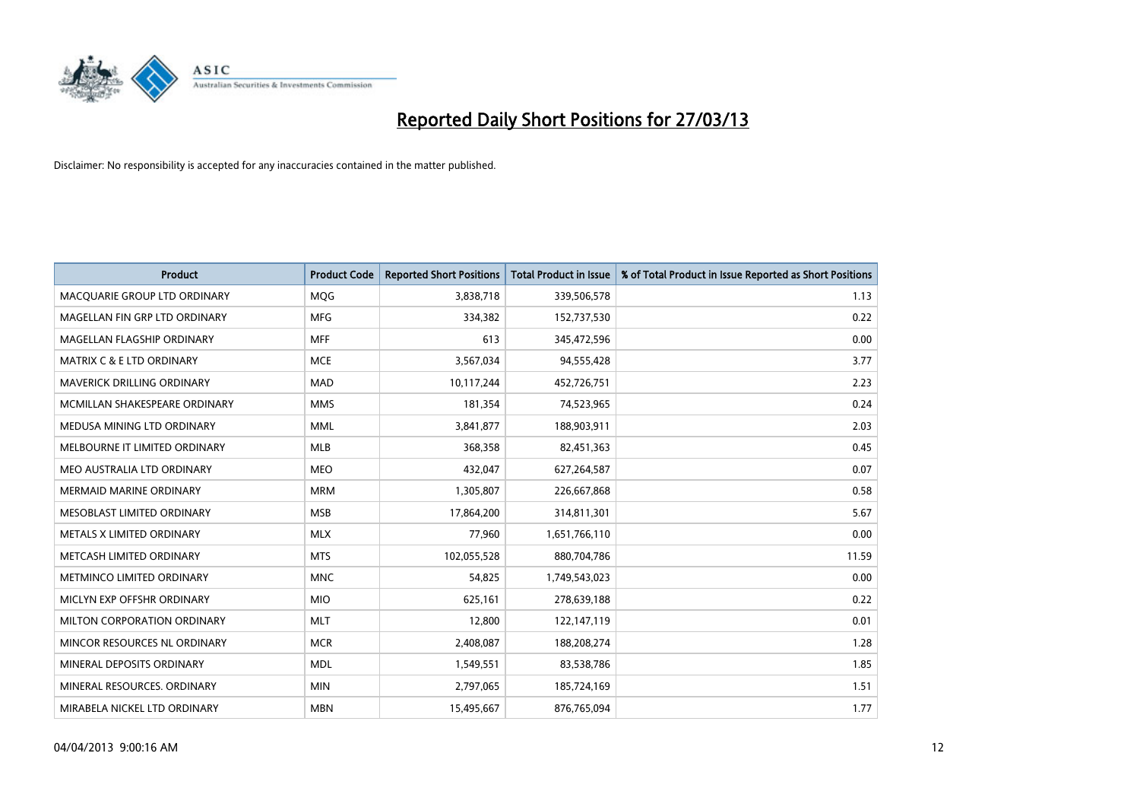

| <b>Product</b>                       | <b>Product Code</b> | <b>Reported Short Positions</b> | <b>Total Product in Issue</b> | % of Total Product in Issue Reported as Short Positions |
|--------------------------------------|---------------------|---------------------------------|-------------------------------|---------------------------------------------------------|
| MACQUARIE GROUP LTD ORDINARY         | <b>MQG</b>          | 3,838,718                       | 339,506,578                   | 1.13                                                    |
| MAGELLAN FIN GRP LTD ORDINARY        | <b>MFG</b>          | 334,382                         | 152,737,530                   | 0.22                                                    |
| MAGELLAN FLAGSHIP ORDINARY           | <b>MFF</b>          | 613                             | 345,472,596                   | 0.00                                                    |
| <b>MATRIX C &amp; E LTD ORDINARY</b> | <b>MCE</b>          | 3,567,034                       | 94,555,428                    | 3.77                                                    |
| <b>MAVERICK DRILLING ORDINARY</b>    | <b>MAD</b>          | 10,117,244                      | 452,726,751                   | 2.23                                                    |
| MCMILLAN SHAKESPEARE ORDINARY        | <b>MMS</b>          | 181,354                         | 74,523,965                    | 0.24                                                    |
| MEDUSA MINING LTD ORDINARY           | <b>MML</b>          | 3,841,877                       | 188,903,911                   | 2.03                                                    |
| MELBOURNE IT LIMITED ORDINARY        | <b>MLB</b>          | 368,358                         | 82,451,363                    | 0.45                                                    |
| MEO AUSTRALIA LTD ORDINARY           | <b>MEO</b>          | 432,047                         | 627,264,587                   | 0.07                                                    |
| <b>MERMAID MARINE ORDINARY</b>       | <b>MRM</b>          | 1,305,807                       | 226,667,868                   | 0.58                                                    |
| MESOBLAST LIMITED ORDINARY           | <b>MSB</b>          | 17,864,200                      | 314,811,301                   | 5.67                                                    |
| METALS X LIMITED ORDINARY            | <b>MLX</b>          | 77,960                          | 1,651,766,110                 | 0.00                                                    |
| METCASH LIMITED ORDINARY             | <b>MTS</b>          | 102,055,528                     | 880,704,786                   | 11.59                                                   |
| METMINCO LIMITED ORDINARY            | <b>MNC</b>          | 54,825                          | 1,749,543,023                 | 0.00                                                    |
| MICLYN EXP OFFSHR ORDINARY           | <b>MIO</b>          | 625,161                         | 278,639,188                   | 0.22                                                    |
| MILTON CORPORATION ORDINARY          | <b>MLT</b>          | 12,800                          | 122,147,119                   | 0.01                                                    |
| MINCOR RESOURCES NL ORDINARY         | <b>MCR</b>          | 2,408,087                       | 188,208,274                   | 1.28                                                    |
| MINERAL DEPOSITS ORDINARY            | <b>MDL</b>          | 1,549,551                       | 83,538,786                    | 1.85                                                    |
| MINERAL RESOURCES, ORDINARY          | <b>MIN</b>          | 2,797,065                       | 185,724,169                   | 1.51                                                    |
| MIRABELA NICKEL LTD ORDINARY         | <b>MBN</b>          | 15,495,667                      | 876,765,094                   | 1.77                                                    |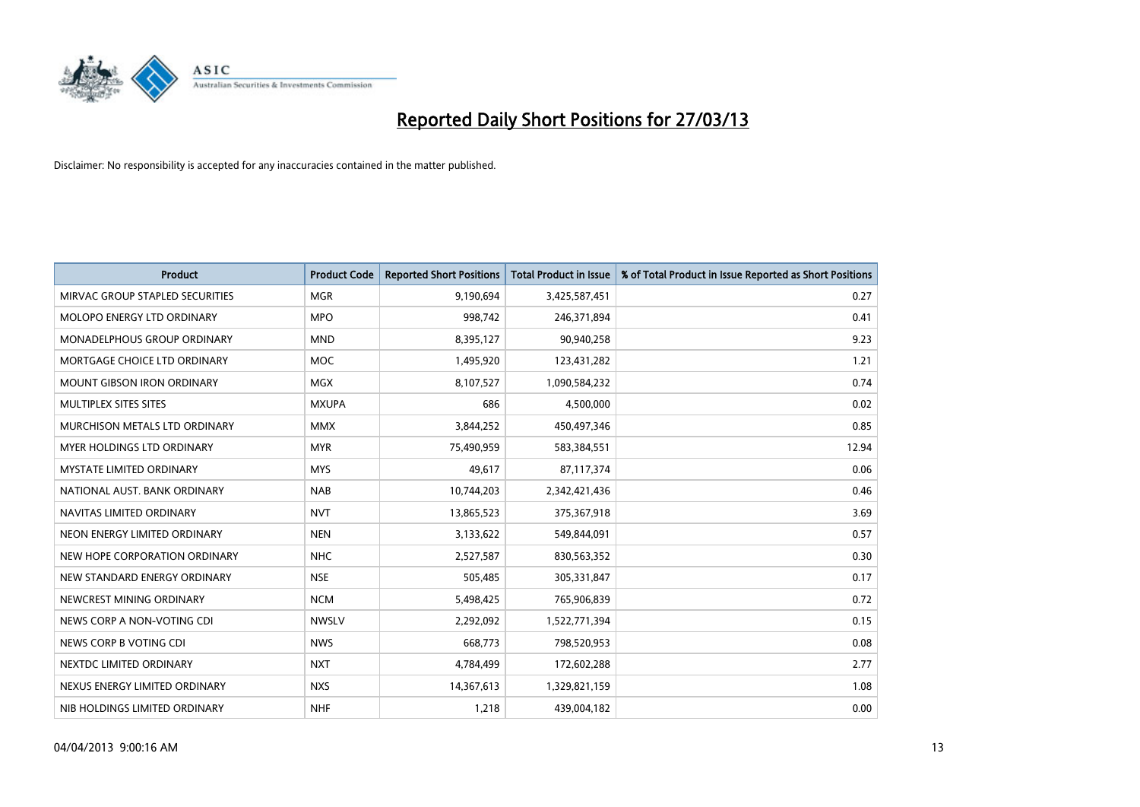

| <b>Product</b>                     | <b>Product Code</b> | <b>Reported Short Positions</b> | <b>Total Product in Issue</b> | % of Total Product in Issue Reported as Short Positions |
|------------------------------------|---------------------|---------------------------------|-------------------------------|---------------------------------------------------------|
| MIRVAC GROUP STAPLED SECURITIES    | <b>MGR</b>          | 9,190,694                       | 3,425,587,451                 | 0.27                                                    |
| MOLOPO ENERGY LTD ORDINARY         | <b>MPO</b>          | 998,742                         | 246,371,894                   | 0.41                                                    |
| <b>MONADELPHOUS GROUP ORDINARY</b> | <b>MND</b>          | 8,395,127                       | 90,940,258                    | 9.23                                                    |
| MORTGAGE CHOICE LTD ORDINARY       | <b>MOC</b>          | 1,495,920                       | 123,431,282                   | 1.21                                                    |
| <b>MOUNT GIBSON IRON ORDINARY</b>  | MGX                 | 8,107,527                       | 1,090,584,232                 | 0.74                                                    |
| MULTIPLEX SITES SITES              | <b>MXUPA</b>        | 686                             | 4,500,000                     | 0.02                                                    |
| MURCHISON METALS LTD ORDINARY      | <b>MMX</b>          | 3,844,252                       | 450,497,346                   | 0.85                                                    |
| MYER HOLDINGS LTD ORDINARY         | <b>MYR</b>          | 75,490,959                      | 583,384,551                   | 12.94                                                   |
| <b>MYSTATE LIMITED ORDINARY</b>    | <b>MYS</b>          | 49,617                          | 87,117,374                    | 0.06                                                    |
| NATIONAL AUST, BANK ORDINARY       | <b>NAB</b>          | 10,744,203                      | 2,342,421,436                 | 0.46                                                    |
| NAVITAS LIMITED ORDINARY           | <b>NVT</b>          | 13,865,523                      | 375,367,918                   | 3.69                                                    |
| NEON ENERGY LIMITED ORDINARY       | <b>NEN</b>          | 3,133,622                       | 549,844,091                   | 0.57                                                    |
| NEW HOPE CORPORATION ORDINARY      | <b>NHC</b>          | 2,527,587                       | 830,563,352                   | 0.30                                                    |
| NEW STANDARD ENERGY ORDINARY       | <b>NSE</b>          | 505,485                         | 305,331,847                   | 0.17                                                    |
| NEWCREST MINING ORDINARY           | <b>NCM</b>          | 5,498,425                       | 765,906,839                   | 0.72                                                    |
| NEWS CORP A NON-VOTING CDI         | <b>NWSLV</b>        | 2,292,092                       | 1,522,771,394                 | 0.15                                                    |
| NEWS CORP B VOTING CDI             | <b>NWS</b>          | 668,773                         | 798,520,953                   | 0.08                                                    |
| NEXTDC LIMITED ORDINARY            | <b>NXT</b>          | 4,784,499                       | 172,602,288                   | 2.77                                                    |
| NEXUS ENERGY LIMITED ORDINARY      | <b>NXS</b>          | 14,367,613                      | 1,329,821,159                 | 1.08                                                    |
| NIB HOLDINGS LIMITED ORDINARY      | <b>NHF</b>          | 1,218                           | 439,004,182                   | 0.00                                                    |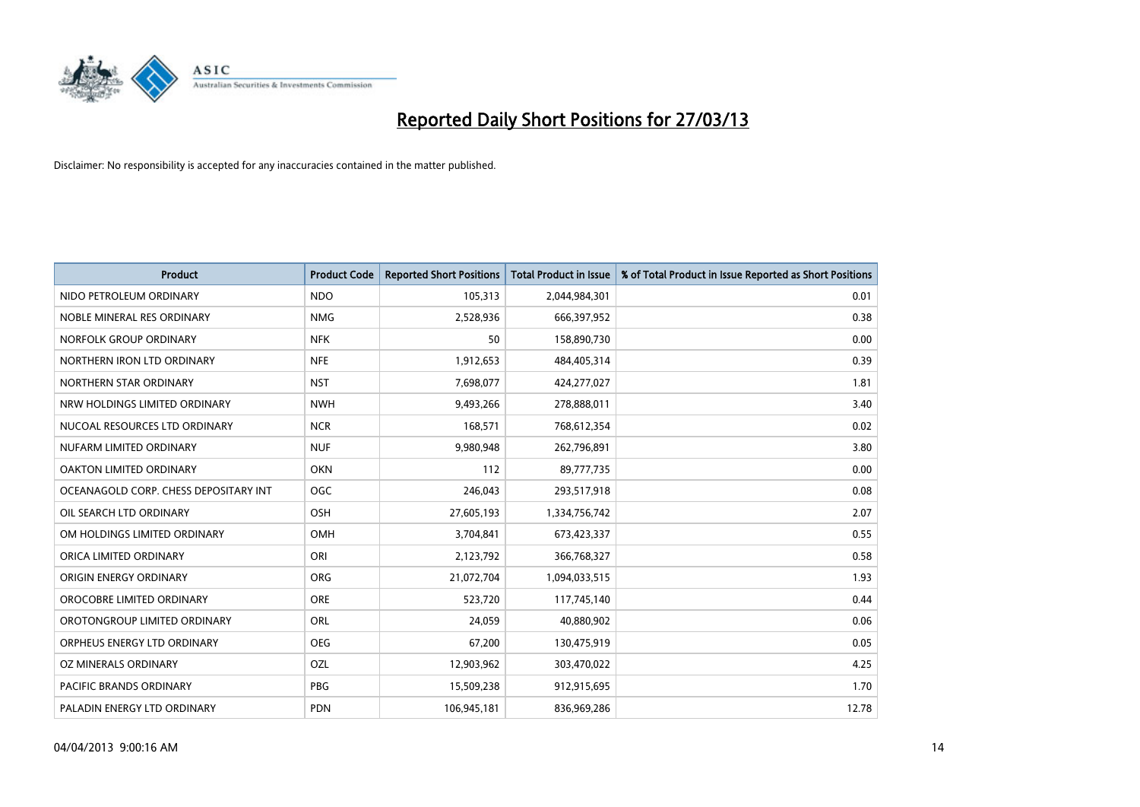

| <b>Product</b>                        | <b>Product Code</b> | <b>Reported Short Positions</b> | <b>Total Product in Issue</b> | % of Total Product in Issue Reported as Short Positions |
|---------------------------------------|---------------------|---------------------------------|-------------------------------|---------------------------------------------------------|
| NIDO PETROLEUM ORDINARY               | <b>NDO</b>          | 105,313                         | 2,044,984,301                 | 0.01                                                    |
| NOBLE MINERAL RES ORDINARY            | <b>NMG</b>          | 2,528,936                       | 666,397,952                   | 0.38                                                    |
| NORFOLK GROUP ORDINARY                | <b>NFK</b>          | 50                              | 158,890,730                   | 0.00                                                    |
| NORTHERN IRON LTD ORDINARY            | <b>NFE</b>          | 1,912,653                       | 484,405,314                   | 0.39                                                    |
| NORTHERN STAR ORDINARY                | <b>NST</b>          | 7,698,077                       | 424,277,027                   | 1.81                                                    |
| NRW HOLDINGS LIMITED ORDINARY         | <b>NWH</b>          | 9,493,266                       | 278,888,011                   | 3.40                                                    |
| NUCOAL RESOURCES LTD ORDINARY         | <b>NCR</b>          | 168,571                         | 768,612,354                   | 0.02                                                    |
| NUFARM LIMITED ORDINARY               | <b>NUF</b>          | 9,980,948                       | 262,796,891                   | 3.80                                                    |
| OAKTON LIMITED ORDINARY               | <b>OKN</b>          | 112                             | 89,777,735                    | 0.00                                                    |
| OCEANAGOLD CORP. CHESS DEPOSITARY INT | <b>OGC</b>          | 246,043                         | 293,517,918                   | 0.08                                                    |
| OIL SEARCH LTD ORDINARY               | OSH                 | 27,605,193                      | 1,334,756,742                 | 2.07                                                    |
| OM HOLDINGS LIMITED ORDINARY          | OMH                 | 3,704,841                       | 673,423,337                   | 0.55                                                    |
| ORICA LIMITED ORDINARY                | ORI                 | 2,123,792                       | 366,768,327                   | 0.58                                                    |
| ORIGIN ENERGY ORDINARY                | <b>ORG</b>          | 21,072,704                      | 1,094,033,515                 | 1.93                                                    |
| OROCOBRE LIMITED ORDINARY             | <b>ORE</b>          | 523,720                         | 117,745,140                   | 0.44                                                    |
| OROTONGROUP LIMITED ORDINARY          | ORL                 | 24,059                          | 40,880,902                    | 0.06                                                    |
| ORPHEUS ENERGY LTD ORDINARY           | <b>OEG</b>          | 67,200                          | 130,475,919                   | 0.05                                                    |
| OZ MINERALS ORDINARY                  | OZL                 | 12,903,962                      | 303,470,022                   | 4.25                                                    |
| <b>PACIFIC BRANDS ORDINARY</b>        | <b>PBG</b>          | 15,509,238                      | 912,915,695                   | 1.70                                                    |
| PALADIN ENERGY LTD ORDINARY           | <b>PDN</b>          | 106,945,181                     | 836,969,286                   | 12.78                                                   |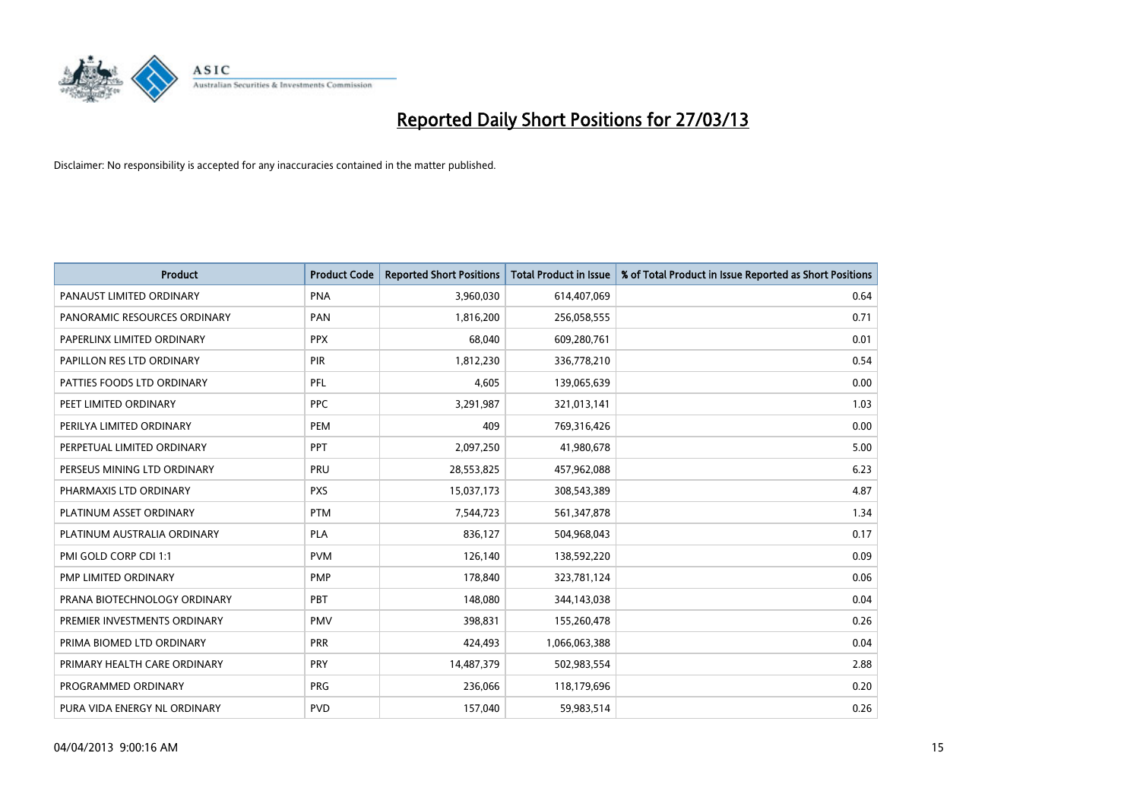

| <b>Product</b>               | <b>Product Code</b> | <b>Reported Short Positions</b> | <b>Total Product in Issue</b> | % of Total Product in Issue Reported as Short Positions |
|------------------------------|---------------------|---------------------------------|-------------------------------|---------------------------------------------------------|
| PANAUST LIMITED ORDINARY     | <b>PNA</b>          | 3,960,030                       | 614,407,069                   | 0.64                                                    |
| PANORAMIC RESOURCES ORDINARY | <b>PAN</b>          | 1,816,200                       | 256,058,555                   | 0.71                                                    |
| PAPERLINX LIMITED ORDINARY   | <b>PPX</b>          | 68,040                          | 609,280,761                   | 0.01                                                    |
| PAPILLON RES LTD ORDINARY    | <b>PIR</b>          | 1,812,230                       | 336,778,210                   | 0.54                                                    |
| PATTIES FOODS LTD ORDINARY   | PFL                 | 4,605                           | 139,065,639                   | 0.00                                                    |
| PEET LIMITED ORDINARY        | <b>PPC</b>          | 3,291,987                       | 321,013,141                   | 1.03                                                    |
| PERILYA LIMITED ORDINARY     | PEM                 | 409                             | 769,316,426                   | 0.00                                                    |
| PERPETUAL LIMITED ORDINARY   | PPT                 | 2,097,250                       | 41,980,678                    | 5.00                                                    |
| PERSEUS MINING LTD ORDINARY  | PRU                 | 28,553,825                      | 457,962,088                   | 6.23                                                    |
| PHARMAXIS LTD ORDINARY       | <b>PXS</b>          | 15,037,173                      | 308,543,389                   | 4.87                                                    |
| PLATINUM ASSET ORDINARY      | <b>PTM</b>          | 7,544,723                       | 561,347,878                   | 1.34                                                    |
| PLATINUM AUSTRALIA ORDINARY  | <b>PLA</b>          | 836,127                         | 504,968,043                   | 0.17                                                    |
| PMI GOLD CORP CDI 1:1        | <b>PVM</b>          | 126,140                         | 138,592,220                   | 0.09                                                    |
| PMP LIMITED ORDINARY         | <b>PMP</b>          | 178,840                         | 323,781,124                   | 0.06                                                    |
| PRANA BIOTECHNOLOGY ORDINARY | PBT                 | 148,080                         | 344,143,038                   | 0.04                                                    |
| PREMIER INVESTMENTS ORDINARY | <b>PMV</b>          | 398,831                         | 155,260,478                   | 0.26                                                    |
| PRIMA BIOMED LTD ORDINARY    | <b>PRR</b>          | 424,493                         | 1,066,063,388                 | 0.04                                                    |
| PRIMARY HEALTH CARE ORDINARY | PRY                 | 14,487,379                      | 502,983,554                   | 2.88                                                    |
| PROGRAMMED ORDINARY          | <b>PRG</b>          | 236,066                         | 118,179,696                   | 0.20                                                    |
| PURA VIDA ENERGY NL ORDINARY | <b>PVD</b>          | 157,040                         | 59,983,514                    | 0.26                                                    |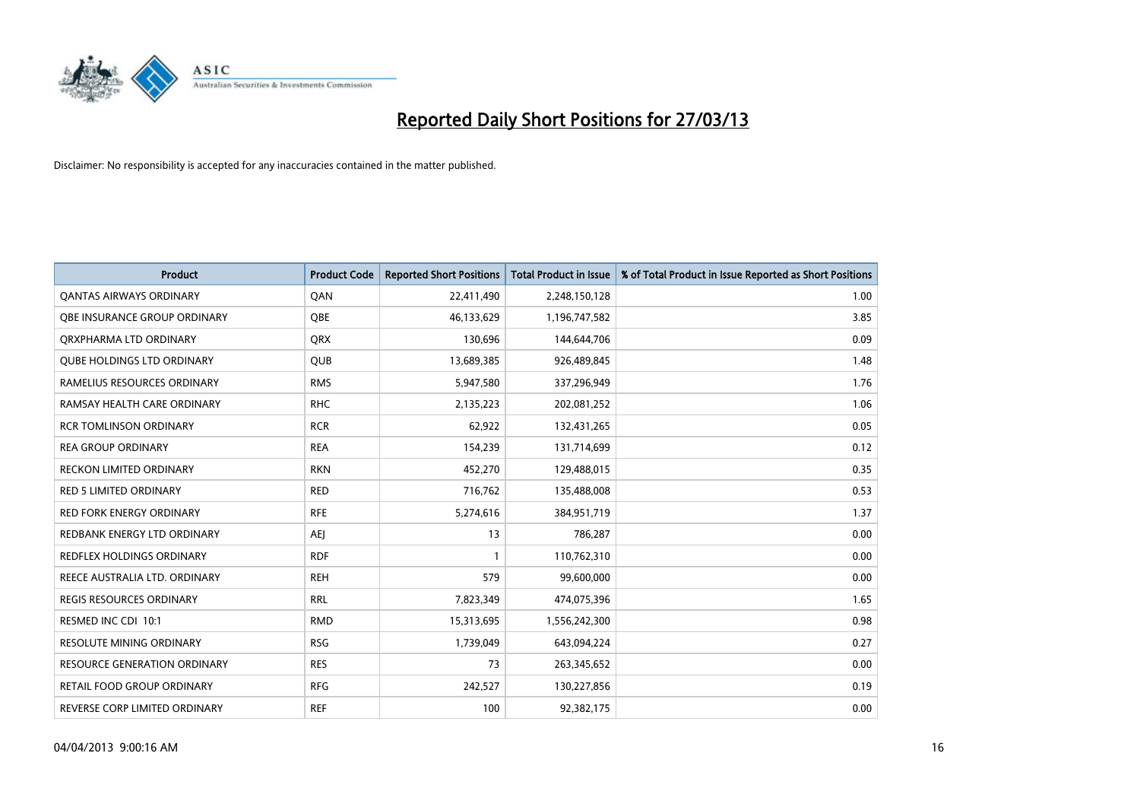

| <b>Product</b>                      | <b>Product Code</b> | <b>Reported Short Positions</b> | <b>Total Product in Issue</b> | % of Total Product in Issue Reported as Short Positions |
|-------------------------------------|---------------------|---------------------------------|-------------------------------|---------------------------------------------------------|
| <b>QANTAS AIRWAYS ORDINARY</b>      | QAN                 | 22,411,490                      | 2,248,150,128                 | 1.00                                                    |
| OBE INSURANCE GROUP ORDINARY        | QBE                 | 46,133,629                      | 1,196,747,582                 | 3.85                                                    |
| ORXPHARMA LTD ORDINARY              | <b>QRX</b>          | 130,696                         | 144,644,706                   | 0.09                                                    |
| <b>QUBE HOLDINGS LTD ORDINARY</b>   | <b>QUB</b>          | 13,689,385                      | 926,489,845                   | 1.48                                                    |
| RAMELIUS RESOURCES ORDINARY         | <b>RMS</b>          | 5,947,580                       | 337,296,949                   | 1.76                                                    |
| RAMSAY HEALTH CARE ORDINARY         | <b>RHC</b>          | 2,135,223                       | 202,081,252                   | 1.06                                                    |
| <b>RCR TOMLINSON ORDINARY</b>       | <b>RCR</b>          | 62,922                          | 132,431,265                   | 0.05                                                    |
| <b>REA GROUP ORDINARY</b>           | <b>REA</b>          | 154,239                         | 131,714,699                   | 0.12                                                    |
| <b>RECKON LIMITED ORDINARY</b>      | <b>RKN</b>          | 452,270                         | 129,488,015                   | 0.35                                                    |
| RED 5 LIMITED ORDINARY              | <b>RED</b>          | 716,762                         | 135,488,008                   | 0.53                                                    |
| RED FORK ENERGY ORDINARY            | <b>RFE</b>          | 5,274,616                       | 384,951,719                   | 1.37                                                    |
| REDBANK ENERGY LTD ORDINARY         | AEJ                 | 13                              | 786,287                       | 0.00                                                    |
| <b>REDFLEX HOLDINGS ORDINARY</b>    | <b>RDF</b>          | $\mathbf{1}$                    | 110,762,310                   | 0.00                                                    |
| REECE AUSTRALIA LTD. ORDINARY       | <b>REH</b>          | 579                             | 99,600,000                    | 0.00                                                    |
| <b>REGIS RESOURCES ORDINARY</b>     | <b>RRL</b>          | 7,823,349                       | 474,075,396                   | 1.65                                                    |
| RESMED INC CDI 10:1                 | <b>RMD</b>          | 15,313,695                      | 1,556,242,300                 | 0.98                                                    |
| <b>RESOLUTE MINING ORDINARY</b>     | <b>RSG</b>          | 1,739,049                       | 643,094,224                   | 0.27                                                    |
| <b>RESOURCE GENERATION ORDINARY</b> | <b>RES</b>          | 73                              | 263,345,652                   | 0.00                                                    |
| <b>RETAIL FOOD GROUP ORDINARY</b>   | <b>RFG</b>          | 242,527                         | 130,227,856                   | 0.19                                                    |
| REVERSE CORP LIMITED ORDINARY       | <b>REF</b>          | 100                             | 92,382,175                    | 0.00                                                    |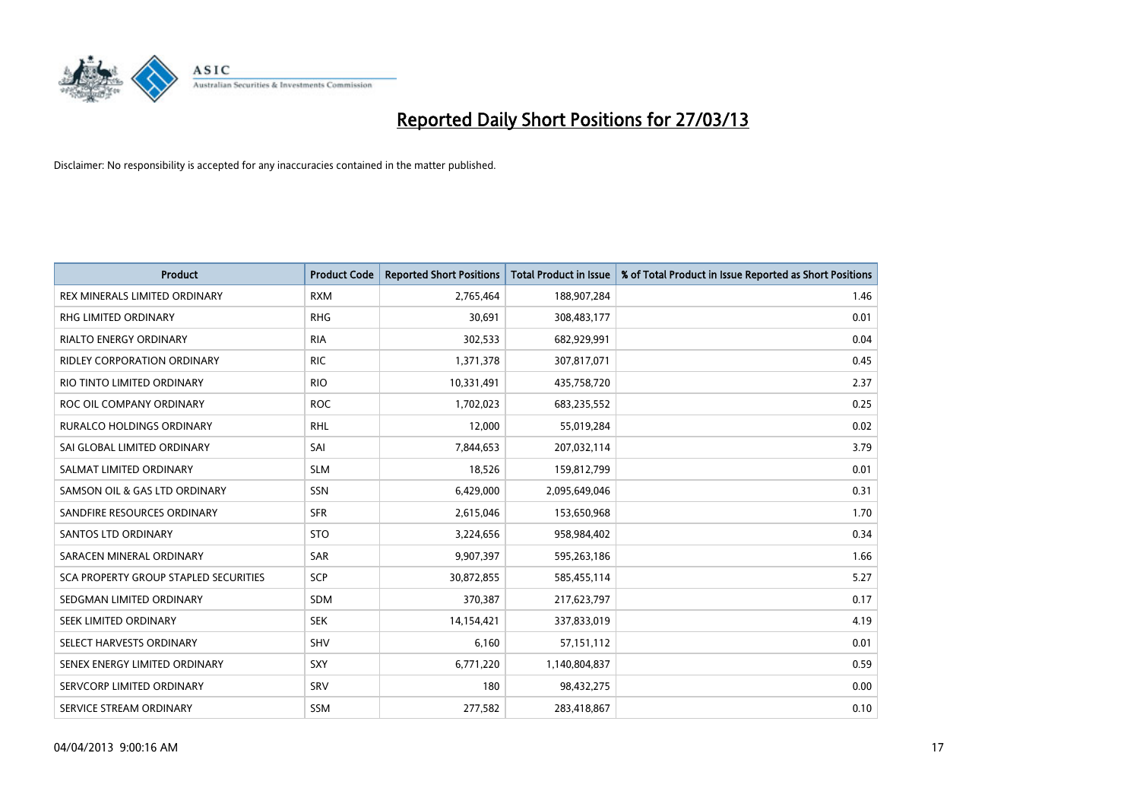

| <b>Product</b>                        | <b>Product Code</b> | <b>Reported Short Positions</b> | <b>Total Product in Issue</b> | % of Total Product in Issue Reported as Short Positions |
|---------------------------------------|---------------------|---------------------------------|-------------------------------|---------------------------------------------------------|
| REX MINERALS LIMITED ORDINARY         | <b>RXM</b>          | 2,765,464                       | 188,907,284                   | 1.46                                                    |
| <b>RHG LIMITED ORDINARY</b>           | <b>RHG</b>          | 30,691                          | 308,483,177                   | 0.01                                                    |
| <b>RIALTO ENERGY ORDINARY</b>         | <b>RIA</b>          | 302,533                         | 682,929,991                   | 0.04                                                    |
| RIDLEY CORPORATION ORDINARY           | <b>RIC</b>          | 1,371,378                       | 307,817,071                   | 0.45                                                    |
| RIO TINTO LIMITED ORDINARY            | <b>RIO</b>          | 10,331,491                      | 435,758,720                   | 2.37                                                    |
| ROC OIL COMPANY ORDINARY              | <b>ROC</b>          | 1,702,023                       | 683,235,552                   | 0.25                                                    |
| <b>RURALCO HOLDINGS ORDINARY</b>      | <b>RHL</b>          | 12,000                          | 55,019,284                    | 0.02                                                    |
| SAI GLOBAL LIMITED ORDINARY           | SAI                 | 7,844,653                       | 207,032,114                   | 3.79                                                    |
| SALMAT LIMITED ORDINARY               | <b>SLM</b>          | 18,526                          | 159,812,799                   | 0.01                                                    |
| SAMSON OIL & GAS LTD ORDINARY         | SSN                 | 6,429,000                       | 2,095,649,046                 | 0.31                                                    |
| SANDFIRE RESOURCES ORDINARY           | <b>SFR</b>          | 2,615,046                       | 153,650,968                   | 1.70                                                    |
| <b>SANTOS LTD ORDINARY</b>            | <b>STO</b>          | 3,224,656                       | 958,984,402                   | 0.34                                                    |
| SARACEN MINERAL ORDINARY              | SAR                 | 9,907,397                       | 595,263,186                   | 1.66                                                    |
| SCA PROPERTY GROUP STAPLED SECURITIES | <b>SCP</b>          | 30,872,855                      | 585,455,114                   | 5.27                                                    |
| SEDGMAN LIMITED ORDINARY              | <b>SDM</b>          | 370,387                         | 217,623,797                   | 0.17                                                    |
| SEEK LIMITED ORDINARY                 | <b>SEK</b>          | 14,154,421                      | 337,833,019                   | 4.19                                                    |
| SELECT HARVESTS ORDINARY              | SHV                 | 6,160                           | 57,151,112                    | 0.01                                                    |
| SENEX ENERGY LIMITED ORDINARY         | <b>SXY</b>          | 6,771,220                       | 1,140,804,837                 | 0.59                                                    |
| SERVCORP LIMITED ORDINARY             | SRV                 | 180                             | 98,432,275                    | 0.00                                                    |
| SERVICE STREAM ORDINARY               | <b>SSM</b>          | 277,582                         | 283,418,867                   | 0.10                                                    |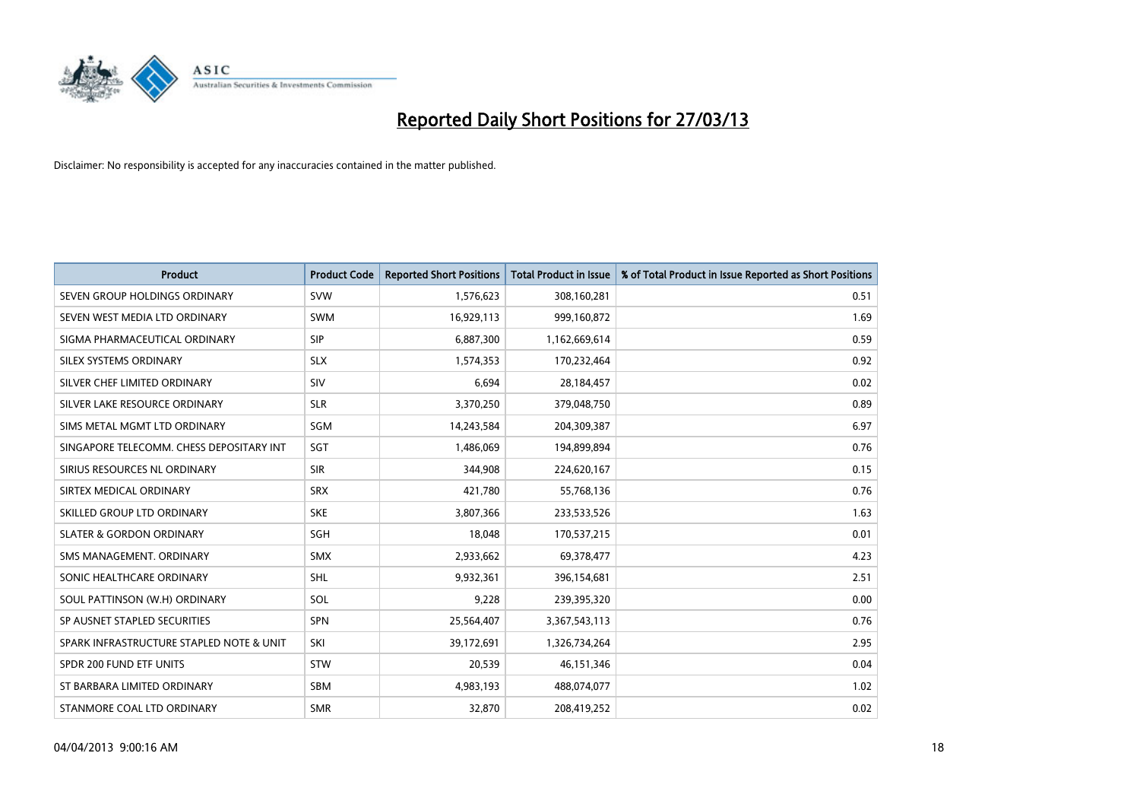

| <b>Product</b>                           | <b>Product Code</b> | <b>Reported Short Positions</b> | <b>Total Product in Issue</b> | % of Total Product in Issue Reported as Short Positions |
|------------------------------------------|---------------------|---------------------------------|-------------------------------|---------------------------------------------------------|
| SEVEN GROUP HOLDINGS ORDINARY            | <b>SVW</b>          | 1,576,623                       | 308,160,281                   | 0.51                                                    |
| SEVEN WEST MEDIA LTD ORDINARY            | <b>SWM</b>          | 16,929,113                      | 999,160,872                   | 1.69                                                    |
| SIGMA PHARMACEUTICAL ORDINARY            | <b>SIP</b>          | 6,887,300                       | 1,162,669,614                 | 0.59                                                    |
| SILEX SYSTEMS ORDINARY                   | <b>SLX</b>          | 1,574,353                       | 170,232,464                   | 0.92                                                    |
| SILVER CHEF LIMITED ORDINARY             | SIV                 | 6,694                           | 28,184,457                    | 0.02                                                    |
| SILVER LAKE RESOURCE ORDINARY            | <b>SLR</b>          | 3,370,250                       | 379,048,750                   | 0.89                                                    |
| SIMS METAL MGMT LTD ORDINARY             | SGM                 | 14,243,584                      | 204,309,387                   | 6.97                                                    |
| SINGAPORE TELECOMM. CHESS DEPOSITARY INT | <b>SGT</b>          | 1,486,069                       | 194,899,894                   | 0.76                                                    |
| SIRIUS RESOURCES NL ORDINARY             | <b>SIR</b>          | 344,908                         | 224,620,167                   | 0.15                                                    |
| SIRTEX MEDICAL ORDINARY                  | <b>SRX</b>          | 421,780                         | 55,768,136                    | 0.76                                                    |
| SKILLED GROUP LTD ORDINARY               | <b>SKE</b>          | 3,807,366                       | 233,533,526                   | 1.63                                                    |
| <b>SLATER &amp; GORDON ORDINARY</b>      | SGH                 | 18,048                          | 170,537,215                   | 0.01                                                    |
| SMS MANAGEMENT. ORDINARY                 | <b>SMX</b>          | 2,933,662                       | 69,378,477                    | 4.23                                                    |
| SONIC HEALTHCARE ORDINARY                | <b>SHL</b>          | 9,932,361                       | 396,154,681                   | 2.51                                                    |
| SOUL PATTINSON (W.H) ORDINARY            | SOL                 | 9,228                           | 239,395,320                   | 0.00                                                    |
| SP AUSNET STAPLED SECURITIES             | SPN                 | 25,564,407                      | 3,367,543,113                 | 0.76                                                    |
| SPARK INFRASTRUCTURE STAPLED NOTE & UNIT | SKI                 | 39,172,691                      | 1,326,734,264                 | 2.95                                                    |
| SPDR 200 FUND ETF UNITS                  | <b>STW</b>          | 20,539                          | 46,151,346                    | 0.04                                                    |
| ST BARBARA LIMITED ORDINARY              | <b>SBM</b>          | 4,983,193                       | 488,074,077                   | 1.02                                                    |
| STANMORE COAL LTD ORDINARY               | <b>SMR</b>          | 32,870                          | 208,419,252                   | 0.02                                                    |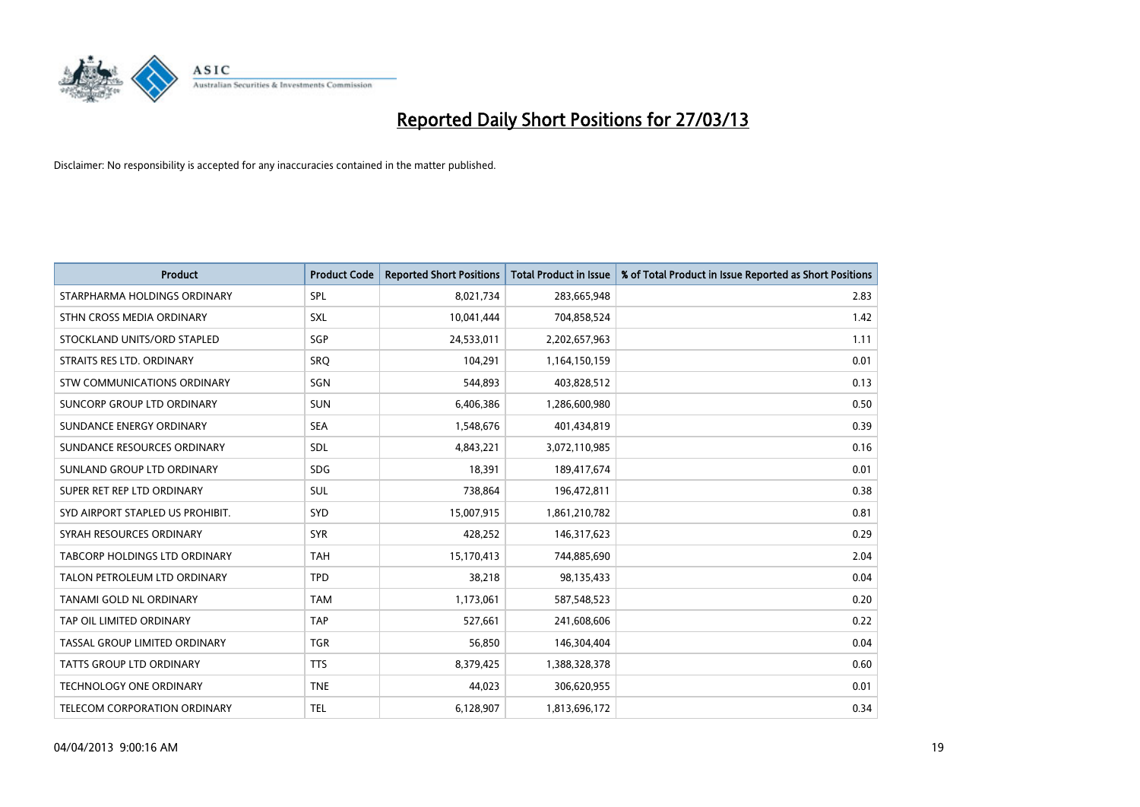

| <b>Product</b>                   | <b>Product Code</b> | <b>Reported Short Positions</b> | <b>Total Product in Issue</b> | % of Total Product in Issue Reported as Short Positions |
|----------------------------------|---------------------|---------------------------------|-------------------------------|---------------------------------------------------------|
| STARPHARMA HOLDINGS ORDINARY     | <b>SPL</b>          | 8,021,734                       | 283,665,948                   | 2.83                                                    |
| STHN CROSS MEDIA ORDINARY        | <b>SXL</b>          | 10,041,444                      | 704,858,524                   | 1.42                                                    |
| STOCKLAND UNITS/ORD STAPLED      | SGP                 | 24,533,011                      | 2,202,657,963                 | 1.11                                                    |
| STRAITS RES LTD. ORDINARY        | SRQ                 | 104,291                         | 1,164,150,159                 | 0.01                                                    |
| STW COMMUNICATIONS ORDINARY      | SGN                 | 544,893                         | 403,828,512                   | 0.13                                                    |
| SUNCORP GROUP LTD ORDINARY       | <b>SUN</b>          | 6,406,386                       | 1,286,600,980                 | 0.50                                                    |
| SUNDANCE ENERGY ORDINARY         | <b>SEA</b>          | 1,548,676                       | 401,434,819                   | 0.39                                                    |
| SUNDANCE RESOURCES ORDINARY      | <b>SDL</b>          | 4,843,221                       | 3,072,110,985                 | 0.16                                                    |
| SUNLAND GROUP LTD ORDINARY       | <b>SDG</b>          | 18,391                          | 189,417,674                   | 0.01                                                    |
| SUPER RET REP LTD ORDINARY       | <b>SUL</b>          | 738,864                         | 196,472,811                   | 0.38                                                    |
| SYD AIRPORT STAPLED US PROHIBIT. | <b>SYD</b>          | 15,007,915                      | 1,861,210,782                 | 0.81                                                    |
| SYRAH RESOURCES ORDINARY         | <b>SYR</b>          | 428,252                         | 146,317,623                   | 0.29                                                    |
| TABCORP HOLDINGS LTD ORDINARY    | <b>TAH</b>          | 15,170,413                      | 744,885,690                   | 2.04                                                    |
| TALON PETROLEUM LTD ORDINARY     | <b>TPD</b>          | 38,218                          | 98,135,433                    | 0.04                                                    |
| <b>TANAMI GOLD NL ORDINARY</b>   | <b>TAM</b>          | 1,173,061                       | 587,548,523                   | 0.20                                                    |
| TAP OIL LIMITED ORDINARY         | <b>TAP</b>          | 527,661                         | 241,608,606                   | 0.22                                                    |
| TASSAL GROUP LIMITED ORDINARY    | <b>TGR</b>          | 56,850                          | 146,304,404                   | 0.04                                                    |
| <b>TATTS GROUP LTD ORDINARY</b>  | <b>TTS</b>          | 8,379,425                       | 1,388,328,378                 | 0.60                                                    |
| <b>TECHNOLOGY ONE ORDINARY</b>   | <b>TNE</b>          | 44,023                          | 306,620,955                   | 0.01                                                    |
| TELECOM CORPORATION ORDINARY     | <b>TEL</b>          | 6,128,907                       | 1,813,696,172                 | 0.34                                                    |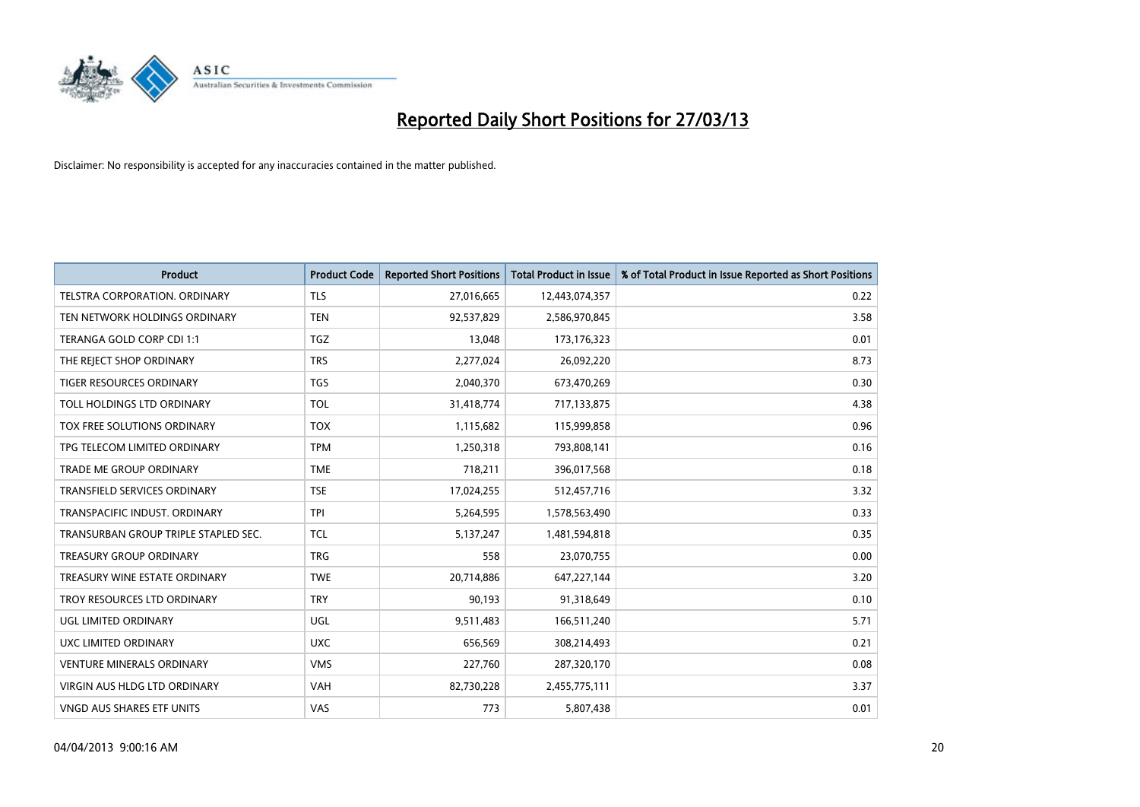

| Product                              | <b>Product Code</b> | <b>Reported Short Positions</b> | <b>Total Product in Issue</b> | % of Total Product in Issue Reported as Short Positions |
|--------------------------------------|---------------------|---------------------------------|-------------------------------|---------------------------------------------------------|
| <b>TELSTRA CORPORATION, ORDINARY</b> | <b>TLS</b>          | 27,016,665                      | 12,443,074,357                | 0.22                                                    |
| TEN NETWORK HOLDINGS ORDINARY        | <b>TEN</b>          | 92,537,829                      | 2,586,970,845                 | 3.58                                                    |
| TERANGA GOLD CORP CDI 1:1            | <b>TGZ</b>          | 13,048                          | 173, 176, 323                 | 0.01                                                    |
| THE REJECT SHOP ORDINARY             | <b>TRS</b>          | 2,277,024                       | 26,092,220                    | 8.73                                                    |
| <b>TIGER RESOURCES ORDINARY</b>      | <b>TGS</b>          | 2,040,370                       | 673,470,269                   | 0.30                                                    |
| TOLL HOLDINGS LTD ORDINARY           | <b>TOL</b>          | 31,418,774                      | 717,133,875                   | 4.38                                                    |
| TOX FREE SOLUTIONS ORDINARY          | <b>TOX</b>          | 1,115,682                       | 115,999,858                   | 0.96                                                    |
| TPG TELECOM LIMITED ORDINARY         | <b>TPM</b>          | 1,250,318                       | 793,808,141                   | 0.16                                                    |
| TRADE ME GROUP ORDINARY              | <b>TME</b>          | 718,211                         | 396,017,568                   | 0.18                                                    |
| <b>TRANSFIELD SERVICES ORDINARY</b>  | <b>TSE</b>          | 17,024,255                      | 512,457,716                   | 3.32                                                    |
| TRANSPACIFIC INDUST, ORDINARY        | <b>TPI</b>          | 5,264,595                       | 1,578,563,490                 | 0.33                                                    |
| TRANSURBAN GROUP TRIPLE STAPLED SEC. | <b>TCL</b>          | 5,137,247                       | 1,481,594,818                 | 0.35                                                    |
| <b>TREASURY GROUP ORDINARY</b>       | <b>TRG</b>          | 558                             | 23,070,755                    | 0.00                                                    |
| TREASURY WINE ESTATE ORDINARY        | <b>TWE</b>          | 20,714,886                      | 647,227,144                   | 3.20                                                    |
| TROY RESOURCES LTD ORDINARY          | <b>TRY</b>          | 90,193                          | 91,318,649                    | 0.10                                                    |
| <b>UGL LIMITED ORDINARY</b>          | UGL                 | 9,511,483                       | 166,511,240                   | 5.71                                                    |
| UXC LIMITED ORDINARY                 | <b>UXC</b>          | 656,569                         | 308,214,493                   | 0.21                                                    |
| <b>VENTURE MINERALS ORDINARY</b>     | <b>VMS</b>          | 227,760                         | 287,320,170                   | 0.08                                                    |
| <b>VIRGIN AUS HLDG LTD ORDINARY</b>  | <b>VAH</b>          | 82,730,228                      | 2,455,775,111                 | 3.37                                                    |
| VNGD AUS SHARES ETF UNITS            | VAS                 | 773                             | 5,807,438                     | 0.01                                                    |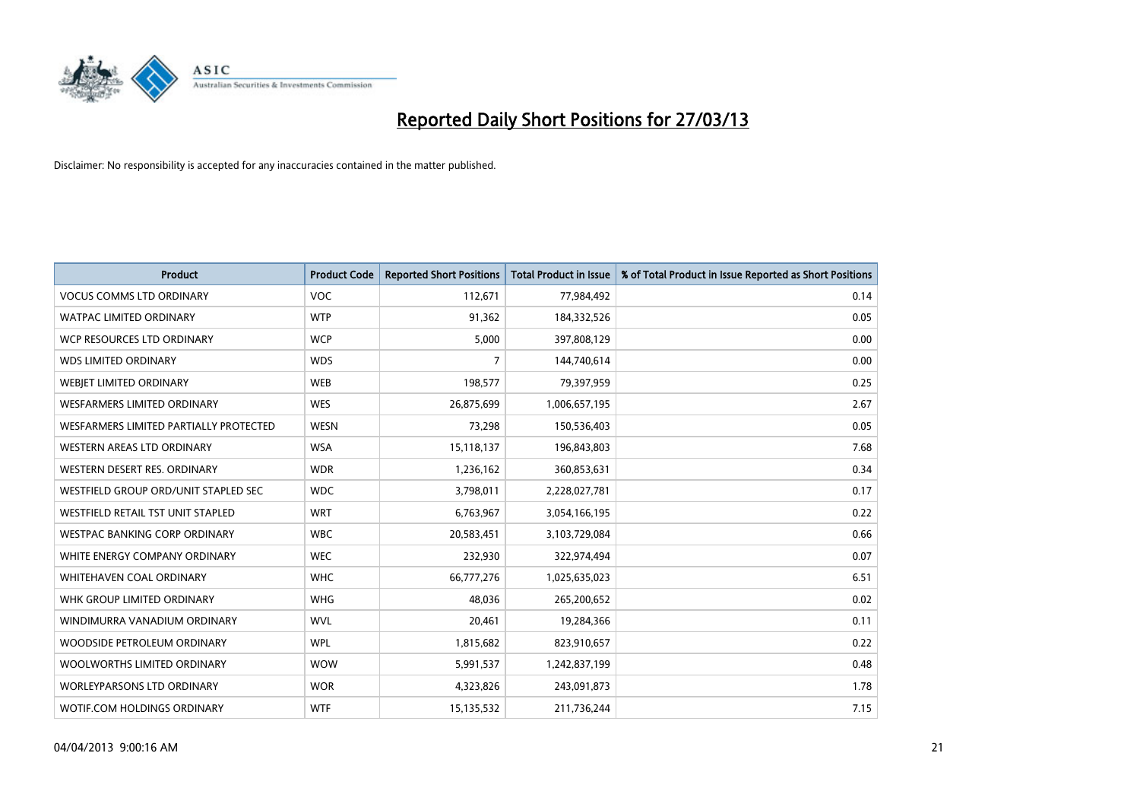

| <b>Product</b>                         | <b>Product Code</b> | <b>Reported Short Positions</b> | <b>Total Product in Issue</b> | % of Total Product in Issue Reported as Short Positions |
|----------------------------------------|---------------------|---------------------------------|-------------------------------|---------------------------------------------------------|
| <b>VOCUS COMMS LTD ORDINARY</b>        | <b>VOC</b>          | 112,671                         | 77,984,492                    | 0.14                                                    |
| <b>WATPAC LIMITED ORDINARY</b>         | <b>WTP</b>          | 91,362                          | 184,332,526                   | 0.05                                                    |
| WCP RESOURCES LTD ORDINARY             | <b>WCP</b>          | 5,000                           | 397,808,129                   | 0.00                                                    |
| <b>WDS LIMITED ORDINARY</b>            | <b>WDS</b>          | 7                               | 144,740,614                   | 0.00                                                    |
| WEBIET LIMITED ORDINARY                | <b>WEB</b>          | 198,577                         | 79,397,959                    | 0.25                                                    |
| <b>WESFARMERS LIMITED ORDINARY</b>     | <b>WES</b>          | 26,875,699                      | 1,006,657,195                 | 2.67                                                    |
| WESFARMERS LIMITED PARTIALLY PROTECTED | <b>WESN</b>         | 73,298                          | 150,536,403                   | 0.05                                                    |
| WESTERN AREAS LTD ORDINARY             | <b>WSA</b>          | 15,118,137                      | 196,843,803                   | 7.68                                                    |
| WESTERN DESERT RES. ORDINARY           | <b>WDR</b>          | 1,236,162                       | 360,853,631                   | 0.34                                                    |
| WESTFIELD GROUP ORD/UNIT STAPLED SEC   | <b>WDC</b>          | 3,798,011                       | 2,228,027,781                 | 0.17                                                    |
| WESTFIELD RETAIL TST UNIT STAPLED      | <b>WRT</b>          | 6,763,967                       | 3,054,166,195                 | 0.22                                                    |
| WESTPAC BANKING CORP ORDINARY          | <b>WBC</b>          | 20,583,451                      | 3,103,729,084                 | 0.66                                                    |
| WHITE ENERGY COMPANY ORDINARY          | <b>WEC</b>          | 232,930                         | 322,974,494                   | 0.07                                                    |
| WHITEHAVEN COAL ORDINARY               | <b>WHC</b>          | 66,777,276                      | 1,025,635,023                 | 6.51                                                    |
| WHK GROUP LIMITED ORDINARY             | <b>WHG</b>          | 48,036                          | 265,200,652                   | 0.02                                                    |
| WINDIMURRA VANADIUM ORDINARY           | <b>WVL</b>          | 20,461                          | 19,284,366                    | 0.11                                                    |
| WOODSIDE PETROLEUM ORDINARY            | <b>WPL</b>          | 1,815,682                       | 823,910,657                   | 0.22                                                    |
| WOOLWORTHS LIMITED ORDINARY            | <b>WOW</b>          | 5,991,537                       | 1,242,837,199                 | 0.48                                                    |
| <b>WORLEYPARSONS LTD ORDINARY</b>      | <b>WOR</b>          | 4,323,826                       | 243,091,873                   | 1.78                                                    |
| WOTIF.COM HOLDINGS ORDINARY            | <b>WTF</b>          | 15,135,532                      | 211,736,244                   | 7.15                                                    |